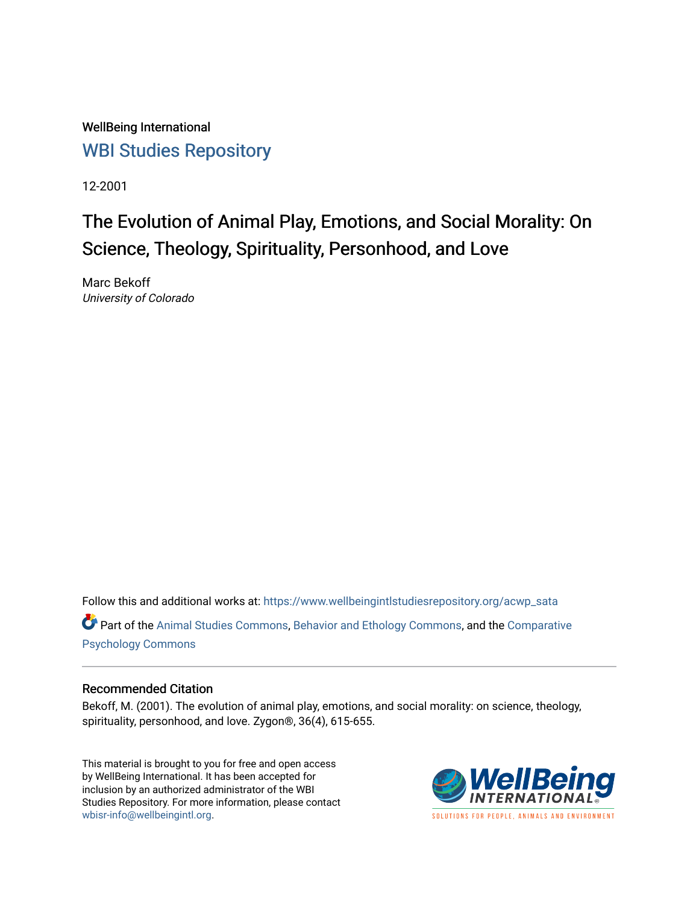WellBeing International [WBI Studies Repository](https://www.wellbeingintlstudiesrepository.org/)

12-2001

# The Evolution of Animal Play, Emotions, and Social Morality: On Science, Theology, Spirituality, Personhood, and Love

Marc Bekoff University of Colorado

Follow this and additional works at: [https://www.wellbeingintlstudiesrepository.org/acwp\\_sata](https://www.wellbeingintlstudiesrepository.org/acwp_sata?utm_source=www.wellbeingintlstudiesrepository.org%2Facwp_sata%2F27&utm_medium=PDF&utm_campaign=PDFCoverPages)

Part of the [Animal Studies Commons,](http://network.bepress.com/hgg/discipline/1306?utm_source=www.wellbeingintlstudiesrepository.org%2Facwp_sata%2F27&utm_medium=PDF&utm_campaign=PDFCoverPages) [Behavior and Ethology Commons,](http://network.bepress.com/hgg/discipline/15?utm_source=www.wellbeingintlstudiesrepository.org%2Facwp_sata%2F27&utm_medium=PDF&utm_campaign=PDFCoverPages) and the [Comparative](http://network.bepress.com/hgg/discipline/1387?utm_source=www.wellbeingintlstudiesrepository.org%2Facwp_sata%2F27&utm_medium=PDF&utm_campaign=PDFCoverPages) [Psychology Commons](http://network.bepress.com/hgg/discipline/1387?utm_source=www.wellbeingintlstudiesrepository.org%2Facwp_sata%2F27&utm_medium=PDF&utm_campaign=PDFCoverPages) 

# Recommended Citation

Bekoff, M. (2001). The evolution of animal play, emotions, and social morality: on science, theology, spirituality, personhood, and love. Zygon®, 36(4), 615-655.

This material is brought to you for free and open access by WellBeing International. It has been accepted for inclusion by an authorized administrator of the WBI Studies Repository. For more information, please contact [wbisr-info@wellbeingintl.org](mailto:wbisr-info@wellbeingintl.org).



SOLUTIONS FOR PEOPLE. ANIMALS AND ENVIRONMENT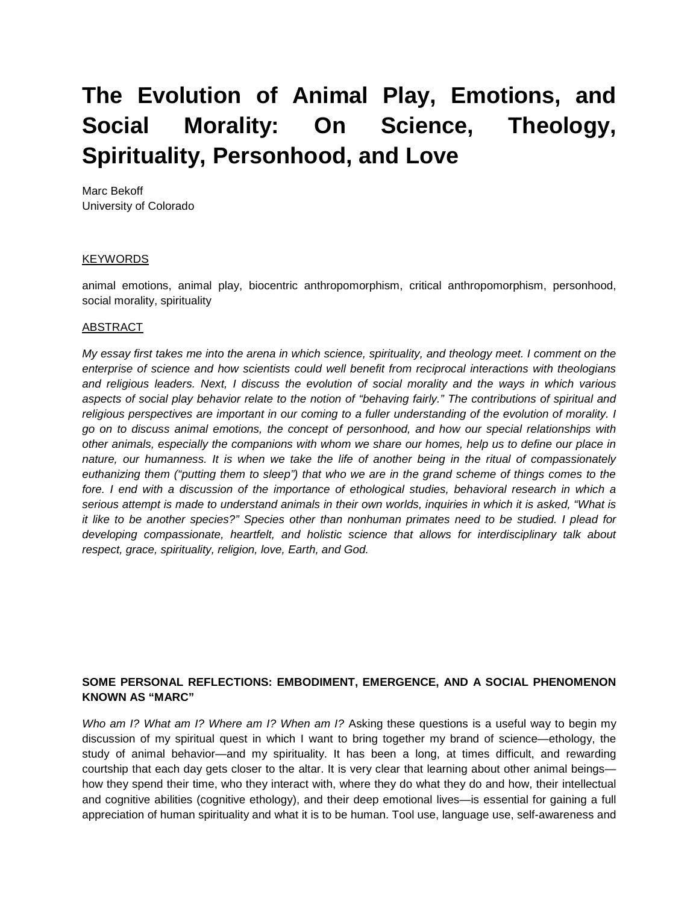# **The Evolution of Animal Play, Emotions, and Social Morality: On Science, Theology, Spirituality, Personhood, and Love**

Marc Bekoff University of Colorado

#### **KEYWORDS**

animal emotions, animal play, biocentric anthropomorphism, critical anthropomorphism, personhood, social morality, spirituality

#### ABSTRACT

*My essay first takes me into the arena in which science, spirituality, and theology meet. I comment on the enterprise of science and how scientists could well benefit from reciprocal interactions with theologians and religious leaders. Next, I discuss the evolution of social morality and the ways in which various aspects of social play behavior relate to the notion of "behaving fairly." The contributions of spiritual and religious perspectives are important in our coming to a fuller understanding of the evolution of morality. I go on to discuss animal emotions, the concept of personhood, and how our special relationships with other animals, especially the companions with whom we share our homes, help us to define our place in nature, our humanness. It is when we take the life of another being in the ritual of compassionately euthanizing them ("putting them to sleep") that who we are in the grand scheme of things comes to the*  fore. I end with a discussion of the importance of ethological studies, behavioral research in which a *serious attempt is made to understand animals in their own worlds, inquiries in which it is asked, "What is it like to be another species?" Species other than nonhuman primates need to be studied. I plead for developing compassionate, heartfelt, and holistic science that allows for interdisciplinary talk about respect, grace, spirituality, religion, love, Earth, and God.*

# **SOME PERSONAL REFLECTIONS: EMBODIMENT, EMERGENCE, AND A SOCIAL PHENOMENON KNOWN AS "MARC"**

*Who am I? What am I? Where am I? When am I?* Asking these questions is a useful way to begin my discussion of my spiritual quest in which I want to bring together my brand of science—ethology, the study of animal behavior—and my spirituality. It has been a long, at times difficult, and rewarding courtship that each day gets closer to the altar. It is very clear that learning about other animal beings how they spend their time, who they interact with, where they do what they do and how, their intellectual and cognitive abilities (cognitive ethology), and their deep emotional lives—is essential for gaining a full appreciation of human spirituality and what it is to be human. Tool use, language use, self-awareness and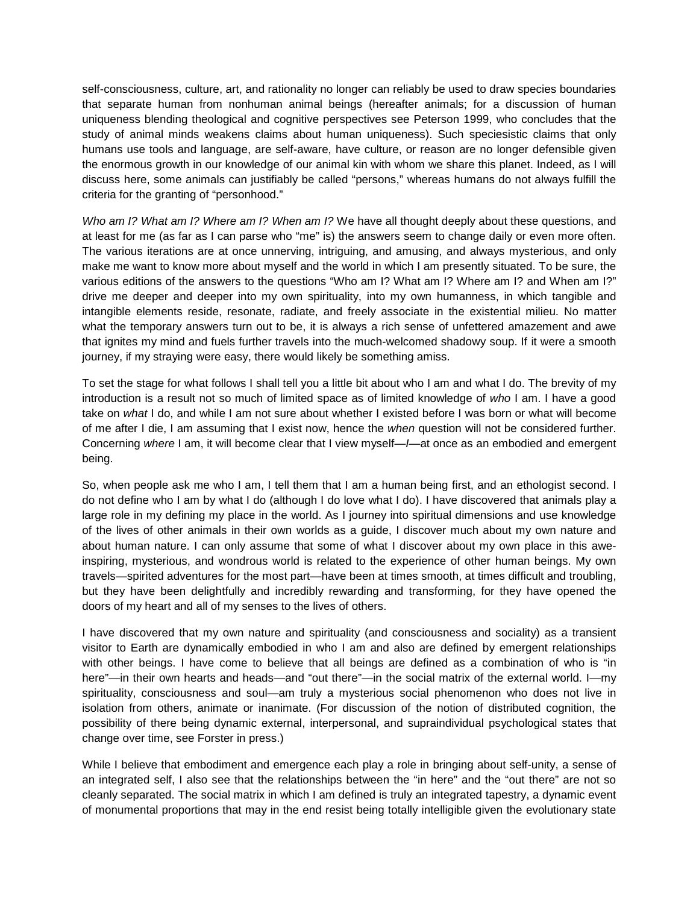self-consciousness, culture, art, and rationality no longer can reliably be used to draw species boundaries that separate human from nonhuman animal beings (hereafter animals; for a discussion of human uniqueness blending theological and cognitive perspectives see Peterson 1999, who concludes that the study of animal minds weakens claims about human uniqueness). Such speciesistic claims that only humans use tools and language, are self-aware, have culture, or reason are no longer defensible given the enormous growth in our knowledge of our animal kin with whom we share this planet. Indeed, as I will discuss here, some animals can justifiably be called "persons," whereas humans do not always fulfill the criteria for the granting of "personhood."

*Who am I? What am I? Where am I? When am I?* We have all thought deeply about these questions, and at least for me (as far as I can parse who "me" is) the answers seem to change daily or even more often. The various iterations are at once unnerving, intriguing, and amusing, and always mysterious, and only make me want to know more about myself and the world in which I am presently situated. To be sure, the various editions of the answers to the questions "Who am I? What am I? Where am I? and When am I?" drive me deeper and deeper into my own spirituality, into my own humanness, in which tangible and intangible elements reside, resonate, radiate, and freely associate in the existential milieu. No matter what the temporary answers turn out to be, it is always a rich sense of unfettered amazement and awe that ignites my mind and fuels further travels into the much-welcomed shadowy soup. If it were a smooth journey, if my straying were easy, there would likely be something amiss.

To set the stage for what follows I shall tell you a little bit about who I am and what I do. The brevity of my introduction is a result not so much of limited space as of limited knowledge of *who* I am. I have a good take on *what* I do, and while I am not sure about whether I existed before I was born or what will become of me after I die, I am assuming that I exist now, hence the *when* question will not be considered further. Concerning *where* I am, it will become clear that I view myself—*I*—at once as an embodied and emergent being.

So, when people ask me who I am, I tell them that I am a human being first, and an ethologist second. I do not define who I am by what I do (although I do love what I do). I have discovered that animals play a large role in my defining my place in the world. As I journey into spiritual dimensions and use knowledge of the lives of other animals in their own worlds as a guide, I discover much about my own nature and about human nature. I can only assume that some of what I discover about my own place in this aweinspiring, mysterious, and wondrous world is related to the experience of other human beings. My own travels—spirited adventures for the most part—have been at times smooth, at times difficult and troubling, but they have been delightfully and incredibly rewarding and transforming, for they have opened the doors of my heart and all of my senses to the lives of others.

I have discovered that my own nature and spirituality (and consciousness and sociality) as a transient visitor to Earth are dynamically embodied in who I am and also are defined by emergent relationships with other beings. I have come to believe that all beings are defined as a combination of who is "in here"—in their own hearts and heads—and "out there"—in the social matrix of the external world. I—my spirituality, consciousness and soul—am truly a mysterious social phenomenon who does not live in isolation from others, animate or inanimate. (For discussion of the notion of distributed cognition, the possibility of there being dynamic external, interpersonal, and supraindividual psychological states that change over time, see Forster in press.)

While I believe that embodiment and emergence each play a role in bringing about self-unity, a sense of an integrated self, I also see that the relationships between the "in here" and the "out there" are not so cleanly separated. The social matrix in which I am defined is truly an integrated tapestry, a dynamic event of monumental proportions that may in the end resist being totally intelligible given the evolutionary state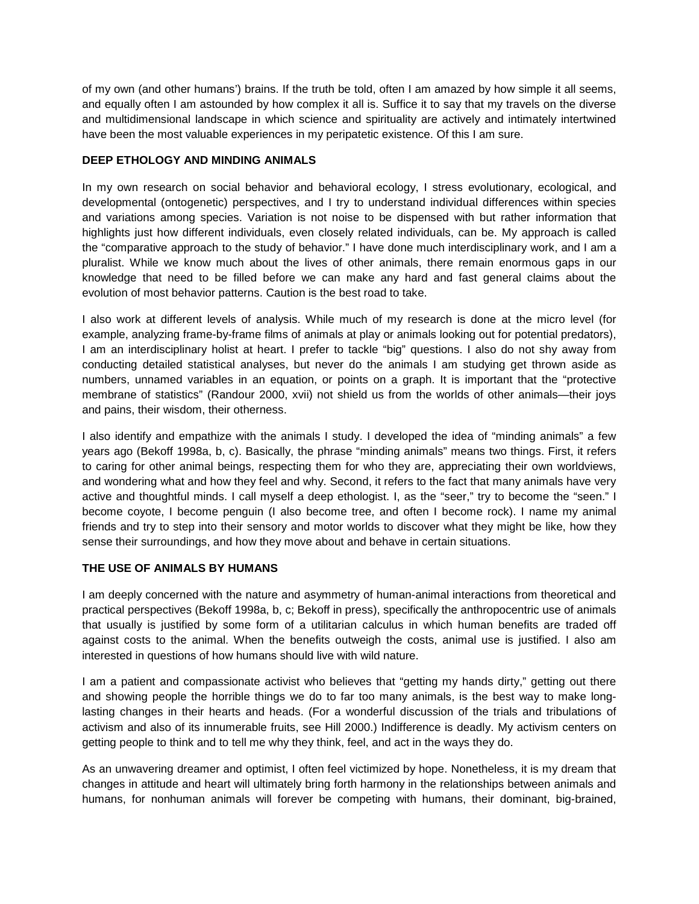of my own (and other humans') brains. If the truth be told, often I am amazed by how simple it all seems, and equally often I am astounded by how complex it all is. Suffice it to say that my travels on the diverse and multidimensional landscape in which science and spirituality are actively and intimately intertwined have been the most valuable experiences in my peripatetic existence. Of this I am sure.

# **DEEP ETHOLOGY AND MINDING ANIMALS**

In my own research on social behavior and behavioral ecology, I stress evolutionary, ecological, and developmental (ontogenetic) perspectives, and I try to understand individual differences within species and variations among species. Variation is not noise to be dispensed with but rather information that highlights just how different individuals, even closely related individuals, can be. My approach is called the "comparative approach to the study of behavior." I have done much interdisciplinary work, and I am a pluralist. While we know much about the lives of other animals, there remain enormous gaps in our knowledge that need to be filled before we can make any hard and fast general claims about the evolution of most behavior patterns. Caution is the best road to take.

I also work at different levels of analysis. While much of my research is done at the micro level (for example, analyzing frame-by-frame films of animals at play or animals looking out for potential predators), I am an interdisciplinary holist at heart. I prefer to tackle "big" questions. I also do not shy away from conducting detailed statistical analyses, but never do the animals I am studying get thrown aside as numbers, unnamed variables in an equation, or points on a graph. It is important that the "protective membrane of statistics" (Randour 2000, xvii) not shield us from the worlds of other animals—their joys and pains, their wisdom, their otherness.

I also identify and empathize with the animals I study. I developed the idea of "minding animals" a few years ago (Bekoff 1998a, b, c). Basically, the phrase "minding animals" means two things. First, it refers to caring for other animal beings, respecting them for who they are, appreciating their own worldviews, and wondering what and how they feel and why. Second, it refers to the fact that many animals have very active and thoughtful minds. I call myself a deep ethologist. I, as the "seer," try to become the "seen." I become coyote, I become penguin (I also become tree, and often I become rock). I name my animal friends and try to step into their sensory and motor worlds to discover what they might be like, how they sense their surroundings, and how they move about and behave in certain situations.

# **THE USE OF ANIMALS BY HUMANS**

I am deeply concerned with the nature and asymmetry of human-animal interactions from theoretical and practical perspectives (Bekoff 1998a, b, c; Bekoff in press), specifically the anthropocentric use of animals that usually is justified by some form of a utilitarian calculus in which human benefits are traded off against costs to the animal. When the benefits outweigh the costs, animal use is justified. I also am interested in questions of how humans should live with wild nature.

I am a patient and compassionate activist who believes that "getting my hands dirty," getting out there and showing people the horrible things we do to far too many animals, is the best way to make longlasting changes in their hearts and heads. (For a wonderful discussion of the trials and tribulations of activism and also of its innumerable fruits, see Hill 2000.) Indifference is deadly. My activism centers on getting people to think and to tell me why they think, feel, and act in the ways they do.

As an unwavering dreamer and optimist, I often feel victimized by hope. Nonetheless, it is my dream that changes in attitude and heart will ultimately bring forth harmony in the relationships between animals and humans, for nonhuman animals will forever be competing with humans, their dominant, big-brained,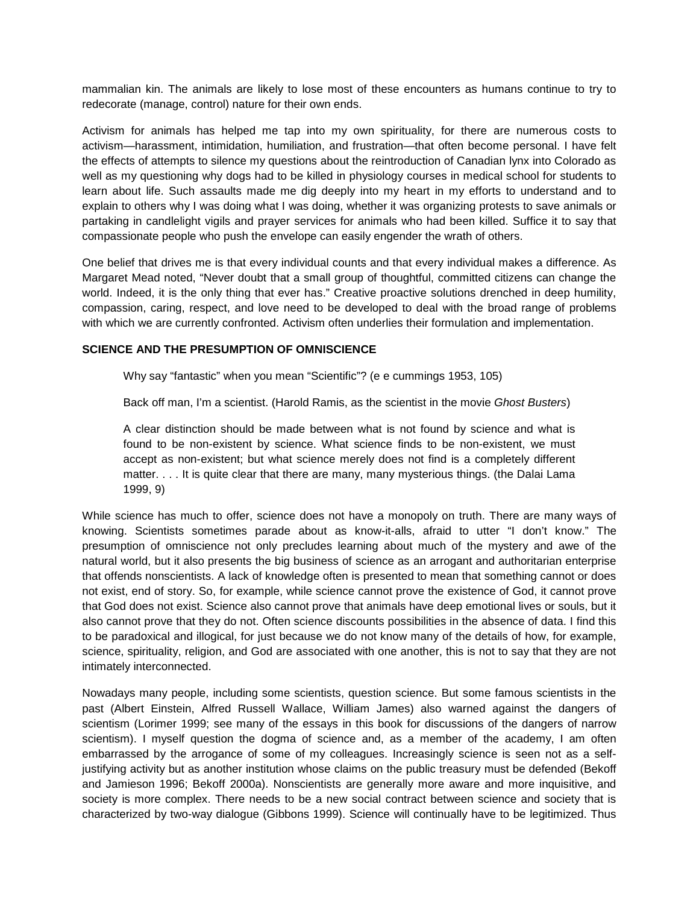mammalian kin. The animals are likely to lose most of these encounters as humans continue to try to redecorate (manage, control) nature for their own ends.

Activism for animals has helped me tap into my own spirituality, for there are numerous costs to activism—harassment, intimidation, humiliation, and frustration—that often become personal. I have felt the effects of attempts to silence my questions about the reintroduction of Canadian lynx into Colorado as well as my questioning why dogs had to be killed in physiology courses in medical school for students to learn about life. Such assaults made me dig deeply into my heart in my efforts to understand and to explain to others why I was doing what I was doing, whether it was organizing protests to save animals or partaking in candlelight vigils and prayer services for animals who had been killed. Suffice it to say that compassionate people who push the envelope can easily engender the wrath of others.

One belief that drives me is that every individual counts and that every individual makes a difference. As Margaret Mead noted, "Never doubt that a small group of thoughtful, committed citizens can change the world. Indeed, it is the only thing that ever has." Creative proactive solutions drenched in deep humility, compassion, caring, respect, and love need to be developed to deal with the broad range of problems with which we are currently confronted. Activism often underlies their formulation and implementation.

#### **SCIENCE AND THE PRESUMPTION OF OMNISCIENCE**

Why say "fantastic" when you mean "Scientific"? (e e cummings 1953, 105)

Back off man, I'm a scientist. (Harold Ramis, as the scientist in the movie *Ghost Busters*)

A clear distinction should be made between what is not found by science and what is found to be non-existent by science. What science finds to be non-existent, we must accept as non-existent; but what science merely does not find is a completely different matter. . . . It is quite clear that there are many, many mysterious things. (the Dalai Lama 1999, 9)

While science has much to offer, science does not have a monopoly on truth. There are many ways of knowing. Scientists sometimes parade about as know-it-alls, afraid to utter "I don't know." The presumption of omniscience not only precludes learning about much of the mystery and awe of the natural world, but it also presents the big business of science as an arrogant and authoritarian enterprise that offends nonscientists. A lack of knowledge often is presented to mean that something cannot or does not exist, end of story. So, for example, while science cannot prove the existence of God, it cannot prove that God does not exist. Science also cannot prove that animals have deep emotional lives or souls, but it also cannot prove that they do not. Often science discounts possibilities in the absence of data. I find this to be paradoxical and illogical, for just because we do not know many of the details of how, for example, science, spirituality, religion, and God are associated with one another, this is not to say that they are not intimately interconnected.

Nowadays many people, including some scientists, question science. But some famous scientists in the past (Albert Einstein, Alfred Russell Wallace, William James) also warned against the dangers of scientism (Lorimer 1999; see many of the essays in this book for discussions of the dangers of narrow scientism). I myself question the dogma of science and, as a member of the academy, I am often embarrassed by the arrogance of some of my colleagues. Increasingly science is seen not as a selfjustifying activity but as another institution whose claims on the public treasury must be defended (Bekoff and Jamieson 1996; Bekoff 2000a). Nonscientists are generally more aware and more inquisitive, and society is more complex. There needs to be a new social contract between science and society that is characterized by two-way dialogue (Gibbons 1999). Science will continually have to be legitimized. Thus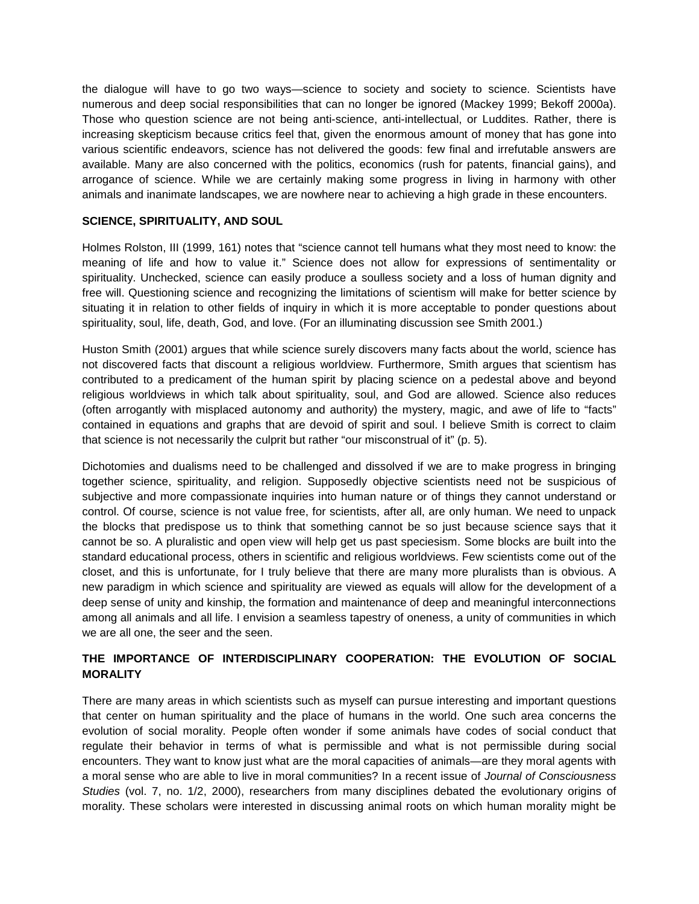the dialogue will have to go two ways—science to society and society to science. Scientists have numerous and deep social responsibilities that can no longer be ignored (Mackey 1999; Bekoff 2000a). Those who question science are not being anti-science, anti-intellectual, or Luddites. Rather, there is increasing skepticism because critics feel that, given the enormous amount of money that has gone into various scientific endeavors, science has not delivered the goods: few final and irrefutable answers are available. Many are also concerned with the politics, economics (rush for patents, financial gains), and arrogance of science. While we are certainly making some progress in living in harmony with other animals and inanimate landscapes, we are nowhere near to achieving a high grade in these encounters.

#### **SCIENCE, SPIRITUALITY, AND SOUL**

Holmes Rolston, III (1999, 161) notes that "science cannot tell humans what they most need to know: the meaning of life and how to value it." Science does not allow for expressions of sentimentality or spirituality. Unchecked, science can easily produce a soulless society and a loss of human dignity and free will. Questioning science and recognizing the limitations of scientism will make for better science by situating it in relation to other fields of inquiry in which it is more acceptable to ponder questions about spirituality, soul, life, death, God, and love. (For an illuminating discussion see Smith 2001.)

Huston Smith (2001) argues that while science surely discovers many facts about the world, science has not discovered facts that discount a religious worldview. Furthermore, Smith argues that scientism has contributed to a predicament of the human spirit by placing science on a pedestal above and beyond religious worldviews in which talk about spirituality, soul, and God are allowed. Science also reduces (often arrogantly with misplaced autonomy and authority) the mystery, magic, and awe of life to "facts" contained in equations and graphs that are devoid of spirit and soul. I believe Smith is correct to claim that science is not necessarily the culprit but rather "our misconstrual of it" (p. 5).

Dichotomies and dualisms need to be challenged and dissolved if we are to make progress in bringing together science, spirituality, and religion. Supposedly objective scientists need not be suspicious of subjective and more compassionate inquiries into human nature or of things they cannot understand or control. Of course, science is not value free, for scientists, after all, are only human. We need to unpack the blocks that predispose us to think that something cannot be so just because science says that it cannot be so. A pluralistic and open view will help get us past speciesism. Some blocks are built into the standard educational process, others in scientific and religious worldviews. Few scientists come out of the closet, and this is unfortunate, for I truly believe that there are many more pluralists than is obvious. A new paradigm in which science and spirituality are viewed as equals will allow for the development of a deep sense of unity and kinship, the formation and maintenance of deep and meaningful interconnections among all animals and all life. I envision a seamless tapestry of oneness, a unity of communities in which we are all one, the seer and the seen.

# **THE IMPORTANCE OF INTERDISCIPLINARY COOPERATION: THE EVOLUTION OF SOCIAL MORALITY**

There are many areas in which scientists such as myself can pursue interesting and important questions that center on human spirituality and the place of humans in the world. One such area concerns the evolution of social morality. People often wonder if some animals have codes of social conduct that regulate their behavior in terms of what is permissible and what is not permissible during social encounters. They want to know just what are the moral capacities of animals—are they moral agents with a moral sense who are able to live in moral communities? In a recent issue of *Journal of Consciousness Studies* (vol. 7, no. 1/2, 2000), researchers from many disciplines debated the evolutionary origins of morality. These scholars were interested in discussing animal roots on which human morality might be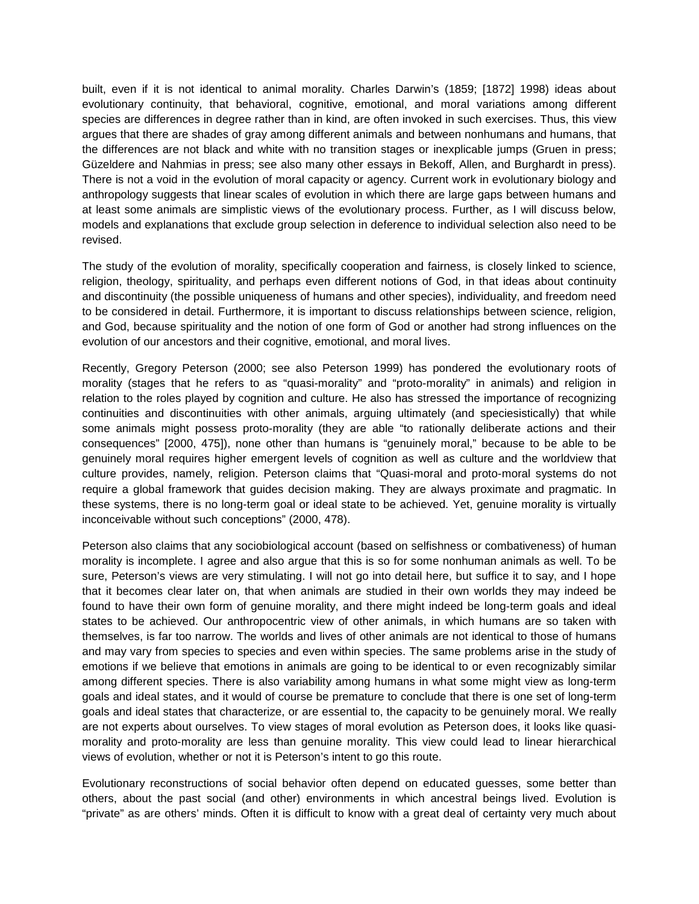built, even if it is not identical to animal morality. Charles Darwin's (1859; [1872] 1998) ideas about evolutionary continuity, that behavioral, cognitive, emotional, and moral variations among different species are differences in degree rather than in kind, are often invoked in such exercises. Thus, this view argues that there are shades of gray among different animals and between nonhumans and humans, that the differences are not black and white with no transition stages or inexplicable jumps (Gruen in press; Güzeldere and Nahmias in press; see also many other essays in Bekoff, Allen, and Burghardt in press). There is not a void in the evolution of moral capacity or agency. Current work in evolutionary biology and anthropology suggests that linear scales of evolution in which there are large gaps between humans and at least some animals are simplistic views of the evolutionary process. Further, as I will discuss below, models and explanations that exclude group selection in deference to individual selection also need to be revised.

The study of the evolution of morality, specifically cooperation and fairness, is closely linked to science, religion, theology, spirituality, and perhaps even different notions of God, in that ideas about continuity and discontinuity (the possible uniqueness of humans and other species), individuality, and freedom need to be considered in detail. Furthermore, it is important to discuss relationships between science, religion, and God, because spirituality and the notion of one form of God or another had strong influences on the evolution of our ancestors and their cognitive, emotional, and moral lives.

Recently, Gregory Peterson (2000; see also Peterson 1999) has pondered the evolutionary roots of morality (stages that he refers to as "quasi-morality" and "proto-morality" in animals) and religion in relation to the roles played by cognition and culture. He also has stressed the importance of recognizing continuities and discontinuities with other animals, arguing ultimately (and speciesistically) that while some animals might possess proto-morality (they are able "to rationally deliberate actions and their consequences" [2000, 475]), none other than humans is "genuinely moral," because to be able to be genuinely moral requires higher emergent levels of cognition as well as culture and the worldview that culture provides, namely, religion. Peterson claims that "Quasi-moral and proto-moral systems do not require a global framework that guides decision making. They are always proximate and pragmatic. In these systems, there is no long-term goal or ideal state to be achieved. Yet, genuine morality is virtually inconceivable without such conceptions" (2000, 478).

Peterson also claims that any sociobiological account (based on selfishness or combativeness) of human morality is incomplete. I agree and also argue that this is so for some nonhuman animals as well. To be sure, Peterson's views are very stimulating. I will not go into detail here, but suffice it to say, and I hope that it becomes clear later on, that when animals are studied in their own worlds they may indeed be found to have their own form of genuine morality, and there might indeed be long-term goals and ideal states to be achieved. Our anthropocentric view of other animals, in which humans are so taken with themselves, is far too narrow. The worlds and lives of other animals are not identical to those of humans and may vary from species to species and even within species. The same problems arise in the study of emotions if we believe that emotions in animals are going to be identical to or even recognizably similar among different species. There is also variability among humans in what some might view as long-term goals and ideal states, and it would of course be premature to conclude that there is one set of long-term goals and ideal states that characterize, or are essential to, the capacity to be genuinely moral. We really are not experts about ourselves. To view stages of moral evolution as Peterson does, it looks like quasimorality and proto-morality are less than genuine morality. This view could lead to linear hierarchical views of evolution, whether or not it is Peterson's intent to go this route.

Evolutionary reconstructions of social behavior often depend on educated guesses, some better than others, about the past social (and other) environments in which ancestral beings lived. Evolution is "private" as are others' minds. Often it is difficult to know with a great deal of certainty very much about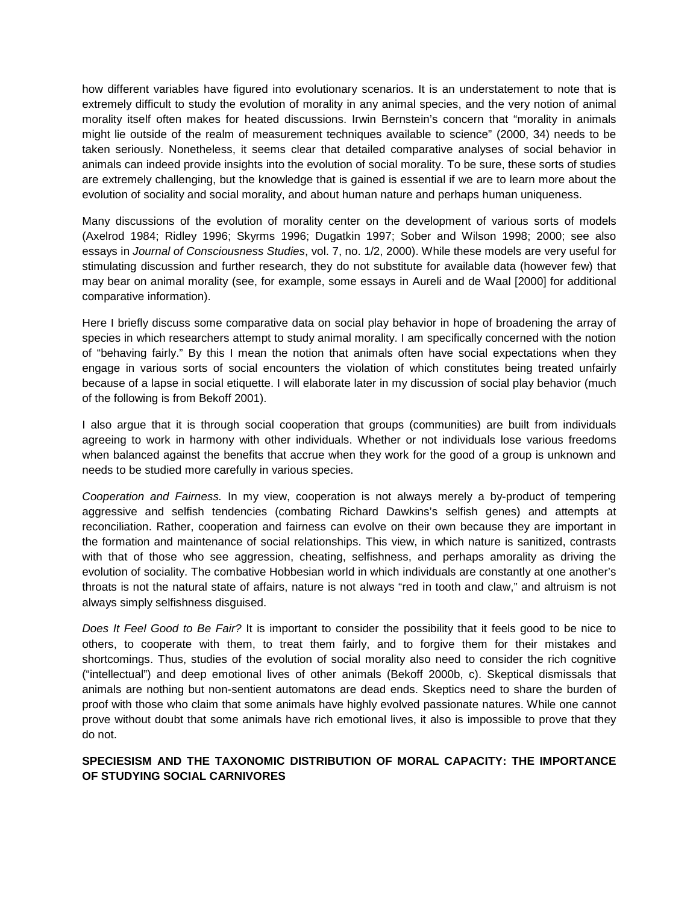how different variables have figured into evolutionary scenarios. It is an understatement to note that is extremely difficult to study the evolution of morality in any animal species, and the very notion of animal morality itself often makes for heated discussions. Irwin Bernstein's concern that "morality in animals might lie outside of the realm of measurement techniques available to science" (2000, 34) needs to be taken seriously. Nonetheless, it seems clear that detailed comparative analyses of social behavior in animals can indeed provide insights into the evolution of social morality. To be sure, these sorts of studies are extremely challenging, but the knowledge that is gained is essential if we are to learn more about the evolution of sociality and social morality, and about human nature and perhaps human uniqueness.

Many discussions of the evolution of morality center on the development of various sorts of models (Axelrod 1984; Ridley 1996; Skyrms 1996; Dugatkin 1997; Sober and Wilson 1998; 2000; see also essays in *Journal of Consciousness Studies*, vol. 7, no. 1/2, 2000). While these models are very useful for stimulating discussion and further research, they do not substitute for available data (however few) that may bear on animal morality (see, for example, some essays in Aureli and de Waal [2000] for additional comparative information).

Here I briefly discuss some comparative data on social play behavior in hope of broadening the array of species in which researchers attempt to study animal morality. I am specifically concerned with the notion of "behaving fairly." By this I mean the notion that animals often have social expectations when they engage in various sorts of social encounters the violation of which constitutes being treated unfairly because of a lapse in social etiquette. I will elaborate later in my discussion of social play behavior (much of the following is from Bekoff 2001).

I also argue that it is through social cooperation that groups (communities) are built from individuals agreeing to work in harmony with other individuals. Whether or not individuals lose various freedoms when balanced against the benefits that accrue when they work for the good of a group is unknown and needs to be studied more carefully in various species.

*Cooperation and Fairness.* In my view, cooperation is not always merely a by-product of tempering aggressive and selfish tendencies (combating Richard Dawkins's selfish genes) and attempts at reconciliation. Rather, cooperation and fairness can evolve on their own because they are important in the formation and maintenance of social relationships. This view, in which nature is sanitized, contrasts with that of those who see aggression, cheating, selfishness, and perhaps amorality as driving the evolution of sociality. The combative Hobbesian world in which individuals are constantly at one another's throats is not the natural state of affairs, nature is not always "red in tooth and claw," and altruism is not always simply selfishness disguised.

*Does It Feel Good to Be Fair?* It is important to consider the possibility that it feels good to be nice to others, to cooperate with them, to treat them fairly, and to forgive them for their mistakes and shortcomings. Thus, studies of the evolution of social morality also need to consider the rich cognitive ("intellectual") and deep emotional lives of other animals (Bekoff 2000b, c). Skeptical dismissals that animals are nothing but non-sentient automatons are dead ends. Skeptics need to share the burden of proof with those who claim that some animals have highly evolved passionate natures. While one cannot prove without doubt that some animals have rich emotional lives, it also is impossible to prove that they do not.

# **SPECIESISM AND THE TAXONOMIC DISTRIBUTION OF MORAL CAPACITY: THE IMPORTANCE OF STUDYING SOCIAL CARNIVORES**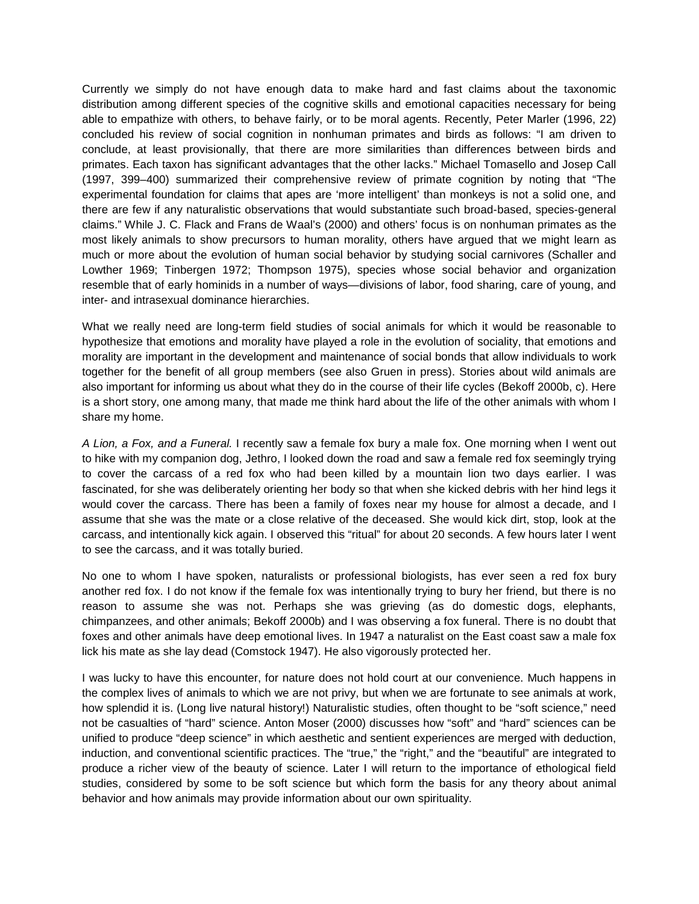Currently we simply do not have enough data to make hard and fast claims about the taxonomic distribution among different species of the cognitive skills and emotional capacities necessary for being able to empathize with others, to behave fairly, or to be moral agents. Recently, Peter Marler (1996, 22) concluded his review of social cognition in nonhuman primates and birds as follows: "I am driven to conclude, at least provisionally, that there are more similarities than differences between birds and primates. Each taxon has significant advantages that the other lacks." Michael Tomasello and Josep Call (1997, 399–400) summarized their comprehensive review of primate cognition by noting that "The experimental foundation for claims that apes are 'more intelligent' than monkeys is not a solid one, and there are few if any naturalistic observations that would substantiate such broad-based, species-general claims." While J. C. Flack and Frans de Waal's (2000) and others' focus is on nonhuman primates as the most likely animals to show precursors to human morality, others have argued that we might learn as much or more about the evolution of human social behavior by studying social carnivores (Schaller and Lowther 1969; Tinbergen 1972; Thompson 1975), species whose social behavior and organization resemble that of early hominids in a number of ways—divisions of labor, food sharing, care of young, and inter- and intrasexual dominance hierarchies.

What we really need are long-term field studies of social animals for which it would be reasonable to hypothesize that emotions and morality have played a role in the evolution of sociality, that emotions and morality are important in the development and maintenance of social bonds that allow individuals to work together for the benefit of all group members (see also Gruen in press). Stories about wild animals are also important for informing us about what they do in the course of their life cycles (Bekoff 2000b, c). Here is a short story, one among many, that made me think hard about the life of the other animals with whom I share my home.

*A Lion, a Fox, and a Funeral.* I recently saw a female fox bury a male fox. One morning when I went out to hike with my companion dog, Jethro, I looked down the road and saw a female red fox seemingly trying to cover the carcass of a red fox who had been killed by a mountain lion two days earlier. I was fascinated, for she was deliberately orienting her body so that when she kicked debris with her hind legs it would cover the carcass. There has been a family of foxes near my house for almost a decade, and I assume that she was the mate or a close relative of the deceased. She would kick dirt, stop, look at the carcass, and intentionally kick again. I observed this "ritual" for about 20 seconds. A few hours later I went to see the carcass, and it was totally buried.

No one to whom I have spoken, naturalists or professional biologists, has ever seen a red fox bury another red fox. I do not know if the female fox was intentionally trying to bury her friend, but there is no reason to assume she was not. Perhaps she was grieving (as do domestic dogs, elephants, chimpanzees, and other animals; Bekoff 2000b) and I was observing a fox funeral. There is no doubt that foxes and other animals have deep emotional lives. In 1947 a naturalist on the East coast saw a male fox lick his mate as she lay dead (Comstock 1947). He also vigorously protected her.

I was lucky to have this encounter, for nature does not hold court at our convenience. Much happens in the complex lives of animals to which we are not privy, but when we are fortunate to see animals at work, how splendid it is. (Long live natural history!) Naturalistic studies, often thought to be "soft science," need not be casualties of "hard" science. Anton Moser (2000) discusses how "soft" and "hard" sciences can be unified to produce "deep science" in which aesthetic and sentient experiences are merged with deduction, induction, and conventional scientific practices. The "true," the "right," and the "beautiful" are integrated to produce a richer view of the beauty of science. Later I will return to the importance of ethological field studies, considered by some to be soft science but which form the basis for any theory about animal behavior and how animals may provide information about our own spirituality.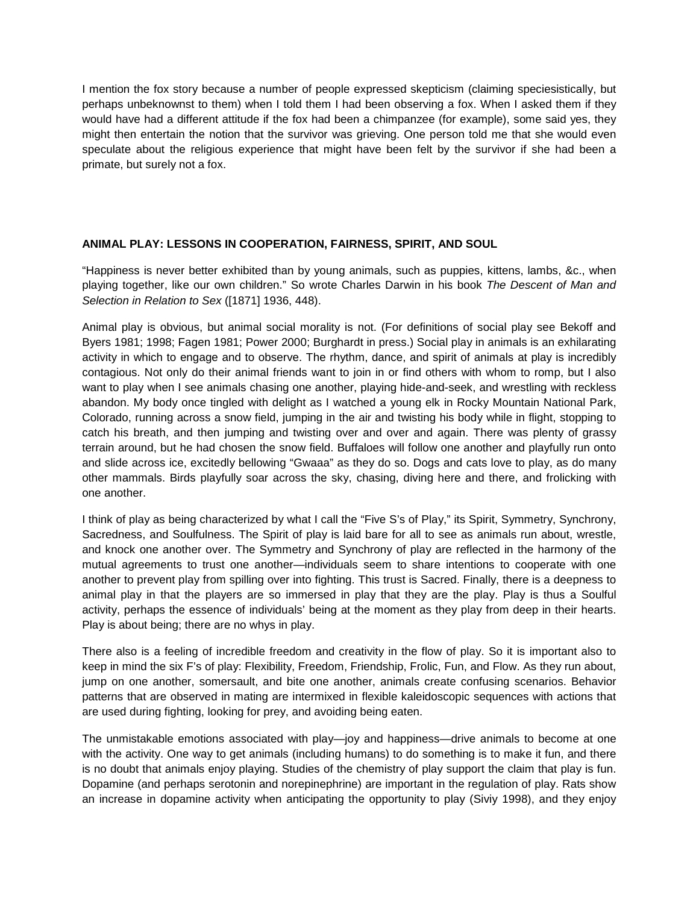I mention the fox story because a number of people expressed skepticism (claiming speciesistically, but perhaps unbeknownst to them) when I told them I had been observing a fox. When I asked them if they would have had a different attitude if the fox had been a chimpanzee (for example), some said yes, they might then entertain the notion that the survivor was grieving. One person told me that she would even speculate about the religious experience that might have been felt by the survivor if she had been a primate, but surely not a fox.

# **ANIMAL PLAY: LESSONS IN COOPERATION, FAIRNESS, SPIRIT, AND SOUL**

"Happiness is never better exhibited than by young animals, such as puppies, kittens, lambs, &c., when playing together, like our own children." So wrote Charles Darwin in his book *The Descent of Man and Selection in Relation to Sex* ([1871] 1936, 448).

Animal play is obvious, but animal social morality is not. (For definitions of social play see Bekoff and Byers 1981; 1998; Fagen 1981; Power 2000; Burghardt in press.) Social play in animals is an exhilarating activity in which to engage and to observe. The rhythm, dance, and spirit of animals at play is incredibly contagious. Not only do their animal friends want to join in or find others with whom to romp, but I also want to play when I see animals chasing one another, playing hide-and-seek, and wrestling with reckless abandon. My body once tingled with delight as I watched a young elk in Rocky Mountain National Park, Colorado, running across a snow field, jumping in the air and twisting his body while in flight, stopping to catch his breath, and then jumping and twisting over and over and again. There was plenty of grassy terrain around, but he had chosen the snow field. Buffaloes will follow one another and playfully run onto and slide across ice, excitedly bellowing "Gwaaa" as they do so. Dogs and cats love to play, as do many other mammals. Birds playfully soar across the sky, chasing, diving here and there, and frolicking with one another.

I think of play as being characterized by what I call the "Five S's of Play," its Spirit, Symmetry, Synchrony, Sacredness, and Soulfulness. The Spirit of play is laid bare for all to see as animals run about, wrestle, and knock one another over. The Symmetry and Synchrony of play are reflected in the harmony of the mutual agreements to trust one another—individuals seem to share intentions to cooperate with one another to prevent play from spilling over into fighting. This trust is Sacred. Finally, there is a deepness to animal play in that the players are so immersed in play that they are the play. Play is thus a Soulful activity, perhaps the essence of individuals' being at the moment as they play from deep in their hearts. Play is about being; there are no whys in play.

There also is a feeling of incredible freedom and creativity in the flow of play. So it is important also to keep in mind the six F's of play: Flexibility, Freedom, Friendship, Frolic, Fun, and Flow. As they run about, jump on one another, somersault, and bite one another, animals create confusing scenarios. Behavior patterns that are observed in mating are intermixed in flexible kaleidoscopic sequences with actions that are used during fighting, looking for prey, and avoiding being eaten.

The unmistakable emotions associated with play—joy and happiness—drive animals to become at one with the activity. One way to get animals (including humans) to do something is to make it fun, and there is no doubt that animals enjoy playing. Studies of the chemistry of play support the claim that play is fun. Dopamine (and perhaps serotonin and norepinephrine) are important in the regulation of play. Rats show an increase in dopamine activity when anticipating the opportunity to play (Siviy 1998), and they enjoy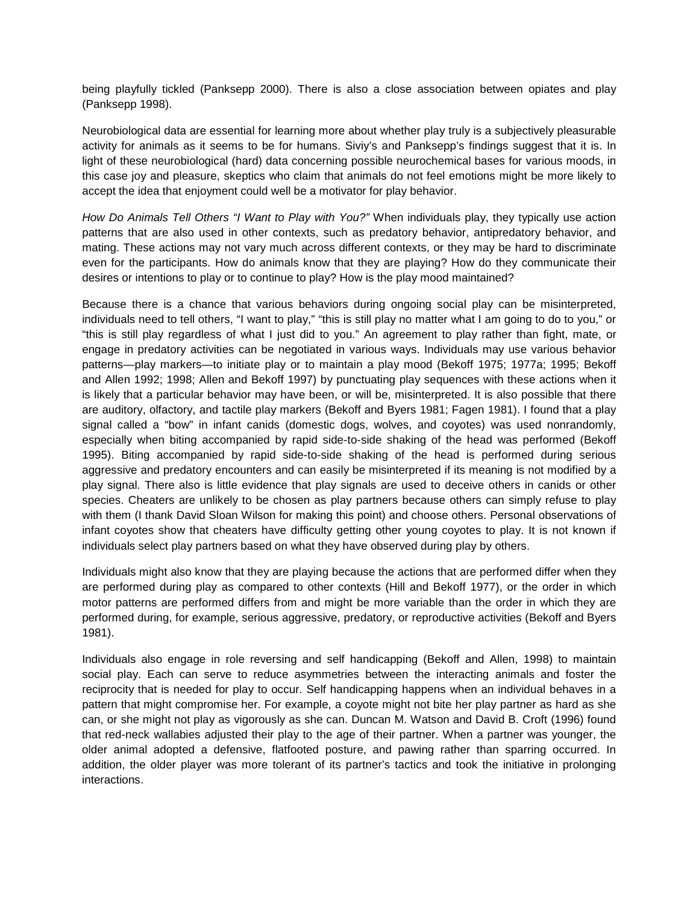being playfully tickled (Panksepp 2000). There is also a close association between opiates and play (Panksepp 1998).

Neurobiological data are essential for learning more about whether play truly is a subjectively pleasurable activity for animals as it seems to be for humans. Siviy's and Panksepp's findings suggest that it is. In light of these neurobiological (hard) data concerning possible neurochemical bases for various moods, in this case joy and pleasure, skeptics who claim that animals do not feel emotions might be more likely to accept the idea that enjoyment could well be a motivator for play behavior.

*How Do Animals Tell Others "I Want to Play with You?"* When individuals play, they typically use action patterns that are also used in other contexts, such as predatory behavior, antipredatory behavior, and mating. These actions may not vary much across different contexts, or they may be hard to discriminate even for the participants. How do animals know that they are playing? How do they communicate their desires or intentions to play or to continue to play? How is the play mood maintained?

Because there is a chance that various behaviors during ongoing social play can be misinterpreted, individuals need to tell others, "I want to play," "this is still play no matter what I am going to do to you," or "this is still play regardless of what I just did to you." An agreement to play rather than fight, mate, or engage in predatory activities can be negotiated in various ways. Individuals may use various behavior patterns—play markers—to initiate play or to maintain a play mood (Bekoff 1975; 1977a; 1995; Bekoff and Allen 1992; 1998; Allen and Bekoff 1997) by punctuating play sequences with these actions when it is likely that a particular behavior may have been, or will be, misinterpreted. It is also possible that there are auditory, olfactory, and tactile play markers (Bekoff and Byers 1981; Fagen 1981). I found that a play signal called a "bow" in infant canids (domestic dogs, wolves, and coyotes) was used nonrandomly, especially when biting accompanied by rapid side-to-side shaking of the head was performed (Bekoff 1995). Biting accompanied by rapid side-to-side shaking of the head is performed during serious aggressive and predatory encounters and can easily be misinterpreted if its meaning is not modified by a play signal. There also is little evidence that play signals are used to deceive others in canids or other species. Cheaters are unlikely to be chosen as play partners because others can simply refuse to play with them (I thank David Sloan Wilson for making this point) and choose others. Personal observations of infant coyotes show that cheaters have difficulty getting other young coyotes to play. It is not known if individuals select play partners based on what they have observed during play by others.

Individuals might also know that they are playing because the actions that are performed differ when they are performed during play as compared to other contexts (Hill and Bekoff 1977), or the order in which motor patterns are performed differs from and might be more variable than the order in which they are performed during, for example, serious aggressive, predatory, or reproductive activities (Bekoff and Byers 1981).

Individuals also engage in role reversing and self handicapping (Bekoff and Allen, 1998) to maintain social play. Each can serve to reduce asymmetries between the interacting animals and foster the reciprocity that is needed for play to occur. Self handicapping happens when an individual behaves in a pattern that might compromise her. For example, a coyote might not bite her play partner as hard as she can, or she might not play as vigorously as she can. Duncan M. Watson and David B. Croft (1996) found that red-neck wallabies adjusted their play to the age of their partner. When a partner was younger, the older animal adopted a defensive, flatfooted posture, and pawing rather than sparring occurred. In addition, the older player was more tolerant of its partner's tactics and took the initiative in prolonging interactions.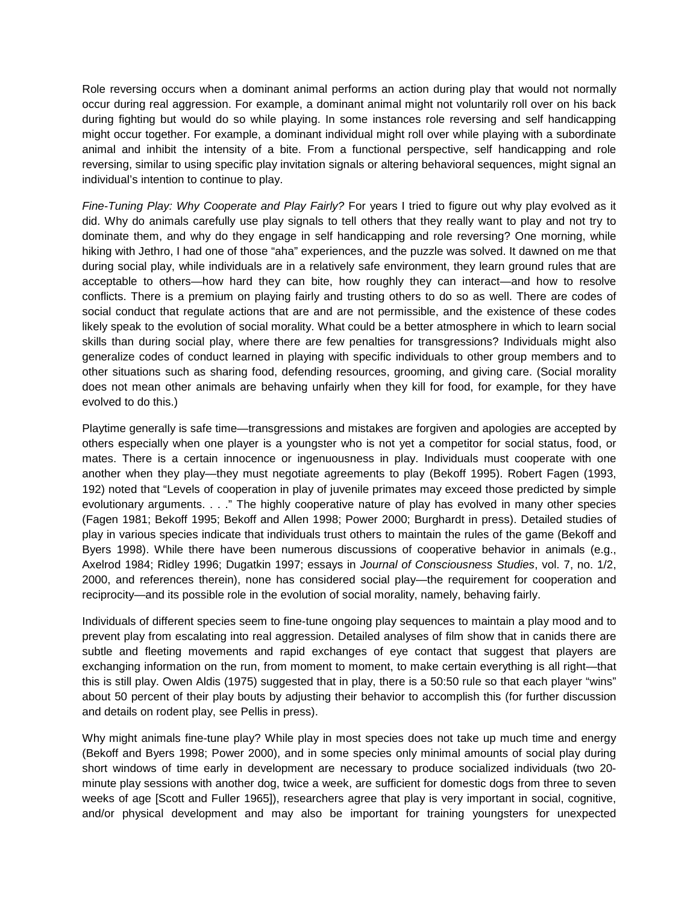Role reversing occurs when a dominant animal performs an action during play that would not normally occur during real aggression. For example, a dominant animal might not voluntarily roll over on his back during fighting but would do so while playing. In some instances role reversing and self handicapping might occur together. For example, a dominant individual might roll over while playing with a subordinate animal and inhibit the intensity of a bite. From a functional perspective, self handicapping and role reversing, similar to using specific play invitation signals or altering behavioral sequences, might signal an individual's intention to continue to play.

*Fine-Tuning Play: Why Cooperate and Play Fairly?* For years I tried to figure out why play evolved as it did. Why do animals carefully use play signals to tell others that they really want to play and not try to dominate them, and why do they engage in self handicapping and role reversing? One morning, while hiking with Jethro, I had one of those "aha" experiences, and the puzzle was solved. It dawned on me that during social play, while individuals are in a relatively safe environment, they learn ground rules that are acceptable to others—how hard they can bite, how roughly they can interact—and how to resolve conflicts. There is a premium on playing fairly and trusting others to do so as well. There are codes of social conduct that regulate actions that are and are not permissible, and the existence of these codes likely speak to the evolution of social morality. What could be a better atmosphere in which to learn social skills than during social play, where there are few penalties for transgressions? Individuals might also generalize codes of conduct learned in playing with specific individuals to other group members and to other situations such as sharing food, defending resources, grooming, and giving care. (Social morality does not mean other animals are behaving unfairly when they kill for food, for example, for they have evolved to do this.)

Playtime generally is safe time—transgressions and mistakes are forgiven and apologies are accepted by others especially when one player is a youngster who is not yet a competitor for social status, food, or mates. There is a certain innocence or ingenuousness in play. Individuals must cooperate with one another when they play—they must negotiate agreements to play (Bekoff 1995). Robert Fagen (1993, 192) noted that "Levels of cooperation in play of juvenile primates may exceed those predicted by simple evolutionary arguments. . . ." The highly cooperative nature of play has evolved in many other species (Fagen 1981; Bekoff 1995; Bekoff and Allen 1998; Power 2000; Burghardt in press). Detailed studies of play in various species indicate that individuals trust others to maintain the rules of the game (Bekoff and Byers 1998). While there have been numerous discussions of cooperative behavior in animals (e.g., Axelrod 1984; Ridley 1996; Dugatkin 1997; essays in *Journal of Consciousness Studies*, vol. 7, no. 1/2, 2000, and references therein), none has considered social play—the requirement for cooperation and reciprocity—and its possible role in the evolution of social morality, namely, behaving fairly.

Individuals of different species seem to fine-tune ongoing play sequences to maintain a play mood and to prevent play from escalating into real aggression. Detailed analyses of film show that in canids there are subtle and fleeting movements and rapid exchanges of eye contact that suggest that players are exchanging information on the run, from moment to moment, to make certain everything is all right—that this is still play. Owen Aldis (1975) suggested that in play, there is a 50:50 rule so that each player "wins" about 50 percent of their play bouts by adjusting their behavior to accomplish this (for further discussion and details on rodent play, see Pellis in press).

Why might animals fine-tune play? While play in most species does not take up much time and energy (Bekoff and Byers 1998; Power 2000), and in some species only minimal amounts of social play during short windows of time early in development are necessary to produce socialized individuals (two 20 minute play sessions with another dog, twice a week, are sufficient for domestic dogs from three to seven weeks of age [Scott and Fuller 1965]), researchers agree that play is very important in social, cognitive, and/or physical development and may also be important for training youngsters for unexpected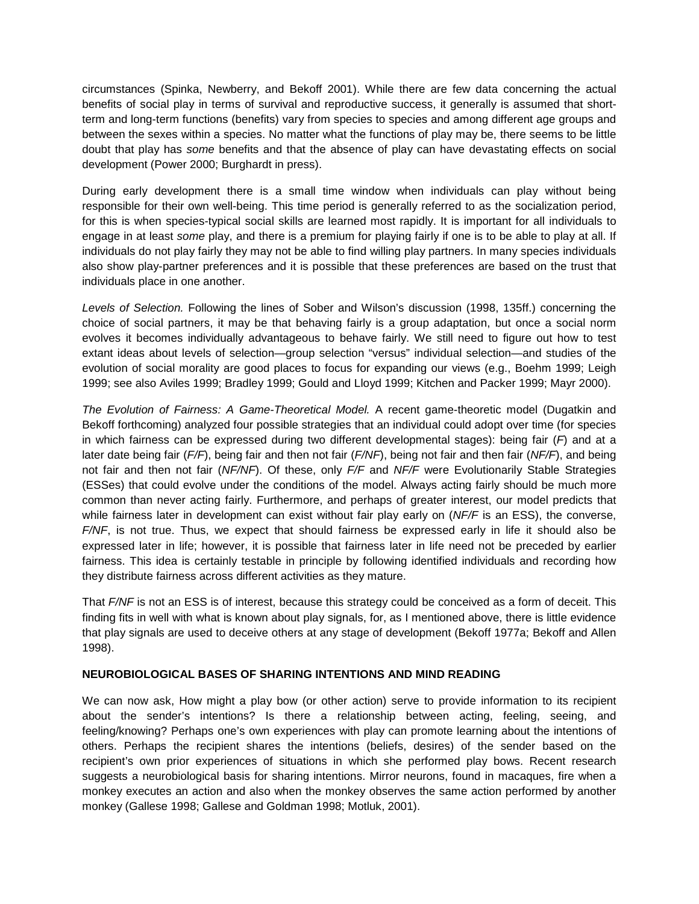circumstances (Spinka, Newberry, and Bekoff 2001). While there are few data concerning the actual benefits of social play in terms of survival and reproductive success, it generally is assumed that shortterm and long-term functions (benefits) vary from species to species and among different age groups and between the sexes within a species. No matter what the functions of play may be, there seems to be little doubt that play has *some* benefits and that the absence of play can have devastating effects on social development (Power 2000; Burghardt in press).

During early development there is a small time window when individuals can play without being responsible for their own well-being. This time period is generally referred to as the socialization period, for this is when species-typical social skills are learned most rapidly. It is important for all individuals to engage in at least *some* play, and there is a premium for playing fairly if one is to be able to play at all. If individuals do not play fairly they may not be able to find willing play partners. In many species individuals also show play-partner preferences and it is possible that these preferences are based on the trust that individuals place in one another.

*Levels of Selection.* Following the lines of Sober and Wilson's discussion (1998, 135ff.) concerning the choice of social partners, it may be that behaving fairly is a group adaptation, but once a social norm evolves it becomes individually advantageous to behave fairly. We still need to figure out how to test extant ideas about levels of selection—group selection "versus" individual selection—and studies of the evolution of social morality are good places to focus for expanding our views (e.g., Boehm 1999; Leigh 1999; see also Aviles 1999; Bradley 1999; Gould and Lloyd 1999; Kitchen and Packer 1999; Mayr 2000).

*The Evolution of Fairness: A Game-Theoretical Model.* A recent game-theoretic model (Dugatkin and Bekoff forthcoming) analyzed four possible strategies that an individual could adopt over time (for species in which fairness can be expressed during two different developmental stages): being fair (*F*) and at a later date being fair (*F/F*), being fair and then not fair (*F/NF*), being not fair and then fair (*NF/F*), and being not fair and then not fair (*NF/NF*). Of these, only *F/F* and *NF/F* were Evolutionarily Stable Strategies (ESSes) that could evolve under the conditions of the model. Always acting fairly should be much more common than never acting fairly. Furthermore, and perhaps of greater interest, our model predicts that while fairness later in development can exist without fair play early on (*NF/F* is an ESS), the converse, *F/NF*, is not true. Thus, we expect that should fairness be expressed early in life it should also be expressed later in life; however, it is possible that fairness later in life need not be preceded by earlier fairness. This idea is certainly testable in principle by following identified individuals and recording how they distribute fairness across different activities as they mature.

That *F/NF* is not an ESS is of interest, because this strategy could be conceived as a form of deceit. This finding fits in well with what is known about play signals, for, as I mentioned above, there is little evidence that play signals are used to deceive others at any stage of development (Bekoff 1977a; Bekoff and Allen 1998).

# **NEUROBIOLOGICAL BASES OF SHARING INTENTIONS AND MIND READING**

We can now ask, How might a play bow (or other action) serve to provide information to its recipient about the sender's intentions? Is there a relationship between acting, feeling, seeing, and feeling/knowing? Perhaps one's own experiences with play can promote learning about the intentions of others. Perhaps the recipient shares the intentions (beliefs, desires) of the sender based on the recipient's own prior experiences of situations in which she performed play bows. Recent research suggests a neurobiological basis for sharing intentions. Mirror neurons, found in macaques, fire when a monkey executes an action and also when the monkey observes the same action performed by another monkey (Gallese 1998; Gallese and Goldman 1998; Motluk, 2001).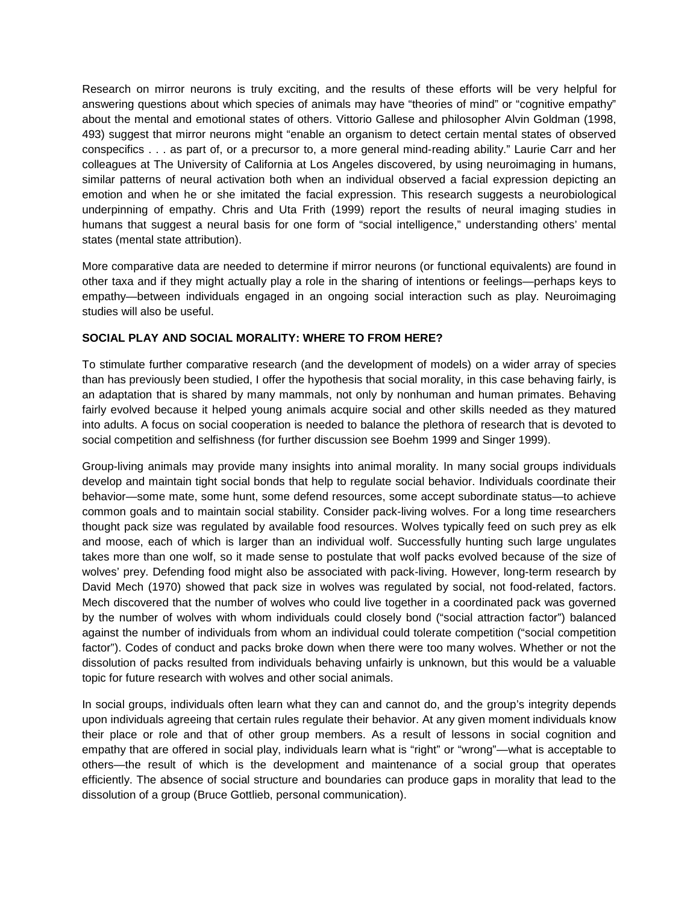Research on mirror neurons is truly exciting, and the results of these efforts will be very helpful for answering questions about which species of animals may have "theories of mind" or "cognitive empathy" about the mental and emotional states of others. Vittorio Gallese and philosopher Alvin Goldman (1998, 493) suggest that mirror neurons might "enable an organism to detect certain mental states of observed conspecifics . . . as part of, or a precursor to, a more general mind-reading ability." Laurie Carr and her colleagues at The University of California at Los Angeles discovered, by using neuroimaging in humans, similar patterns of neural activation both when an individual observed a facial expression depicting an emotion and when he or she imitated the facial expression. This research suggests a neurobiological underpinning of empathy. Chris and Uta Frith (1999) report the results of neural imaging studies in humans that suggest a neural basis for one form of "social intelligence," understanding others' mental states (mental state attribution).

More comparative data are needed to determine if mirror neurons (or functional equivalents) are found in other taxa and if they might actually play a role in the sharing of intentions or feelings—perhaps keys to empathy—between individuals engaged in an ongoing social interaction such as play. Neuroimaging studies will also be useful.

# **SOCIAL PLAY AND SOCIAL MORALITY: WHERE TO FROM HERE?**

To stimulate further comparative research (and the development of models) on a wider array of species than has previously been studied, I offer the hypothesis that social morality, in this case behaving fairly, is an adaptation that is shared by many mammals, not only by nonhuman and human primates. Behaving fairly evolved because it helped young animals acquire social and other skills needed as they matured into adults. A focus on social cooperation is needed to balance the plethora of research that is devoted to social competition and selfishness (for further discussion see Boehm 1999 and Singer 1999).

Group-living animals may provide many insights into animal morality. In many social groups individuals develop and maintain tight social bonds that help to regulate social behavior. Individuals coordinate their behavior—some mate, some hunt, some defend resources, some accept subordinate status—to achieve common goals and to maintain social stability. Consider pack-living wolves. For a long time researchers thought pack size was regulated by available food resources. Wolves typically feed on such prey as elk and moose, each of which is larger than an individual wolf. Successfully hunting such large ungulates takes more than one wolf, so it made sense to postulate that wolf packs evolved because of the size of wolves' prey. Defending food might also be associated with pack-living. However, long-term research by David Mech (1970) showed that pack size in wolves was regulated by social, not food-related, factors. Mech discovered that the number of wolves who could live together in a coordinated pack was governed by the number of wolves with whom individuals could closely bond ("social attraction factor") balanced against the number of individuals from whom an individual could tolerate competition ("social competition factor"). Codes of conduct and packs broke down when there were too many wolves. Whether or not the dissolution of packs resulted from individuals behaving unfairly is unknown, but this would be a valuable topic for future research with wolves and other social animals.

In social groups, individuals often learn what they can and cannot do, and the group's integrity depends upon individuals agreeing that certain rules regulate their behavior. At any given moment individuals know their place or role and that of other group members. As a result of lessons in social cognition and empathy that are offered in social play, individuals learn what is "right" or "wrong"—what is acceptable to others—the result of which is the development and maintenance of a social group that operates efficiently. The absence of social structure and boundaries can produce gaps in morality that lead to the dissolution of a group (Bruce Gottlieb, personal communication).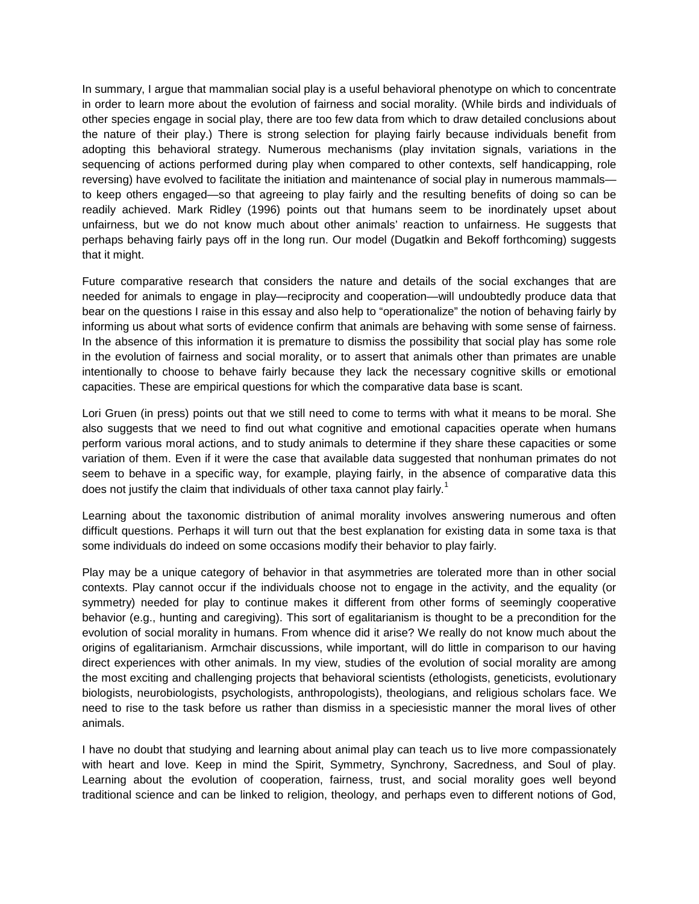In summary, I argue that mammalian social play is a useful behavioral phenotype on which to concentrate in order to learn more about the evolution of fairness and social morality. (While birds and individuals of other species engage in social play, there are too few data from which to draw detailed conclusions about the nature of their play.) There is strong selection for playing fairly because individuals benefit from adopting this behavioral strategy. Numerous mechanisms (play invitation signals, variations in the sequencing of actions performed during play when compared to other contexts, self handicapping, role reversing) have evolved to facilitate the initiation and maintenance of social play in numerous mammals to keep others engaged—so that agreeing to play fairly and the resulting benefits of doing so can be readily achieved. Mark Ridley (1996) points out that humans seem to be inordinately upset about unfairness, but we do not know much about other animals' reaction to unfairness. He suggests that perhaps behaving fairly pays off in the long run. Our model (Dugatkin and Bekoff forthcoming) suggests that it might.

Future comparative research that considers the nature and details of the social exchanges that are needed for animals to engage in play—reciprocity and cooperation—will undoubtedly produce data that bear on the questions I raise in this essay and also help to "operationalize" the notion of behaving fairly by informing us about what sorts of evidence confirm that animals are behaving with some sense of fairness. In the absence of this information it is premature to dismiss the possibility that social play has some role in the evolution of fairness and social morality, or to assert that animals other than primates are unable intentionally to choose to behave fairly because they lack the necessary cognitive skills or emotional capacities. These are empirical questions for which the comparative data base is scant.

Lori Gruen (in press) points out that we still need to come to terms with what it means to be moral. She also suggests that we need to find out what cognitive and emotional capacities operate when humans perform various moral actions, and to study animals to determine if they share these capacities or some variation of them. Even if it were the case that available data suggested that nonhuman primates do not seem to behave in a specific way, for example, playing fairly, in the absence of comparative data this does not justify the claim that individuals of other taxa cannot play fairly.<sup>1</sup>

Learning about the taxonomic distribution of animal morality involves answering numerous and often difficult questions. Perhaps it will turn out that the best explanation for existing data in some taxa is that some individuals do indeed on some occasions modify their behavior to play fairly.

Play may be a unique category of behavior in that asymmetries are tolerated more than in other social contexts. Play cannot occur if the individuals choose not to engage in the activity, and the equality (or symmetry) needed for play to continue makes it different from other forms of seemingly cooperative behavior (e.g., hunting and caregiving). This sort of egalitarianism is thought to be a precondition for the evolution of social morality in humans. From whence did it arise? We really do not know much about the origins of egalitarianism. Armchair discussions, while important, will do little in comparison to our having direct experiences with other animals. In my view, studies of the evolution of social morality are among the most exciting and challenging projects that behavioral scientists (ethologists, geneticists, evolutionary biologists, neurobiologists, psychologists, anthropologists), theologians, and religious scholars face. We need to rise to the task before us rather than dismiss in a speciesistic manner the moral lives of other animals.

I have no doubt that studying and learning about animal play can teach us to live more compassionately with heart and love. Keep in mind the Spirit, Symmetry, Synchrony, Sacredness, and Soul of play. Learning about the evolution of cooperation, fairness, trust, and social morality goes well beyond traditional science and can be linked to religion, theology, and perhaps even to different notions of God,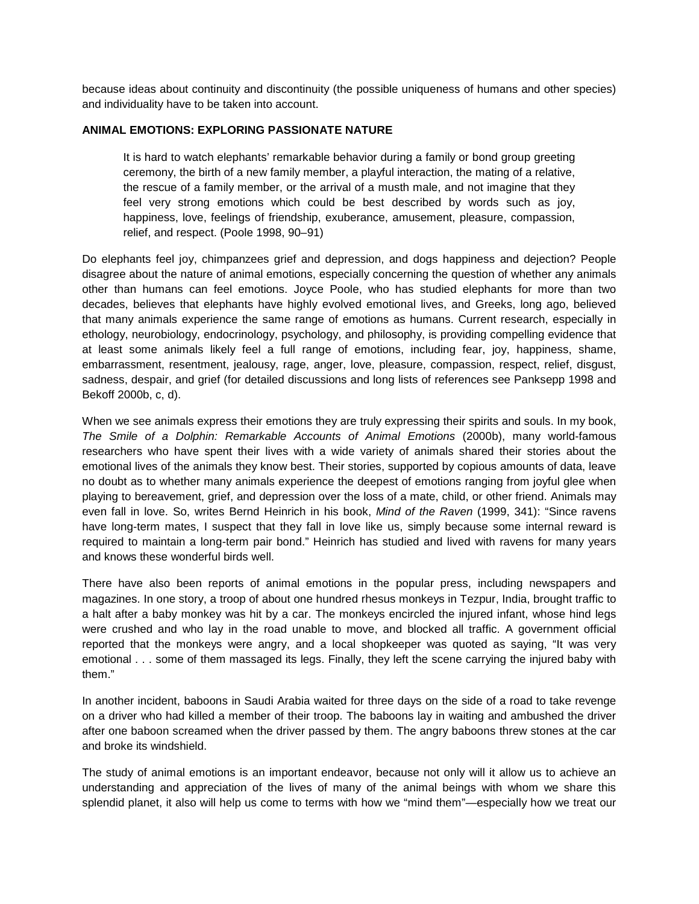because ideas about continuity and discontinuity (the possible uniqueness of humans and other species) and individuality have to be taken into account.

#### **ANIMAL EMOTIONS: EXPLORING PASSIONATE NATURE**

It is hard to watch elephants' remarkable behavior during a family or bond group greeting ceremony, the birth of a new family member, a playful interaction, the mating of a relative, the rescue of a family member, or the arrival of a musth male, and not imagine that they feel very strong emotions which could be best described by words such as joy, happiness, love, feelings of friendship, exuberance, amusement, pleasure, compassion, relief, and respect. (Poole 1998, 90–91)

Do elephants feel joy, chimpanzees grief and depression, and dogs happiness and dejection? People disagree about the nature of animal emotions, especially concerning the question of whether any animals other than humans can feel emotions. Joyce Poole, who has studied elephants for more than two decades, believes that elephants have highly evolved emotional lives, and Greeks, long ago, believed that many animals experience the same range of emotions as humans. Current research, especially in ethology, neurobiology, endocrinology, psychology, and philosophy, is providing compelling evidence that at least some animals likely feel a full range of emotions, including fear, joy, happiness, shame, embarrassment, resentment, jealousy, rage, anger, love, pleasure, compassion, respect, relief, disgust, sadness, despair, and grief (for detailed discussions and long lists of references see Panksepp 1998 and Bekoff 2000b, c, d).

When we see animals express their emotions they are truly expressing their spirits and souls. In my book, *The Smile of a Dolphin: Remarkable Accounts of Animal Emotions* (2000b), many world-famous researchers who have spent their lives with a wide variety of animals shared their stories about the emotional lives of the animals they know best. Their stories, supported by copious amounts of data, leave no doubt as to whether many animals experience the deepest of emotions ranging from joyful glee when playing to bereavement, grief, and depression over the loss of a mate, child, or other friend. Animals may even fall in love. So, writes Bernd Heinrich in his book, *Mind of the Raven* (1999, 341): "Since ravens have long-term mates, I suspect that they fall in love like us, simply because some internal reward is required to maintain a long-term pair bond." Heinrich has studied and lived with ravens for many years and knows these wonderful birds well.

There have also been reports of animal emotions in the popular press, including newspapers and magazines. In one story, a troop of about one hundred rhesus monkeys in Tezpur, India, brought traffic to a halt after a baby monkey was hit by a car. The monkeys encircled the injured infant, whose hind legs were crushed and who lay in the road unable to move, and blocked all traffic. A government official reported that the monkeys were angry, and a local shopkeeper was quoted as saying, "It was very emotional . . . some of them massaged its legs. Finally, they left the scene carrying the injured baby with them."

In another incident, baboons in Saudi Arabia waited for three days on the side of a road to take revenge on a driver who had killed a member of their troop. The baboons lay in waiting and ambushed the driver after one baboon screamed when the driver passed by them. The angry baboons threw stones at the car and broke its windshield.

The study of animal emotions is an important endeavor, because not only will it allow us to achieve an understanding and appreciation of the lives of many of the animal beings with whom we share this splendid planet, it also will help us come to terms with how we "mind them"—especially how we treat our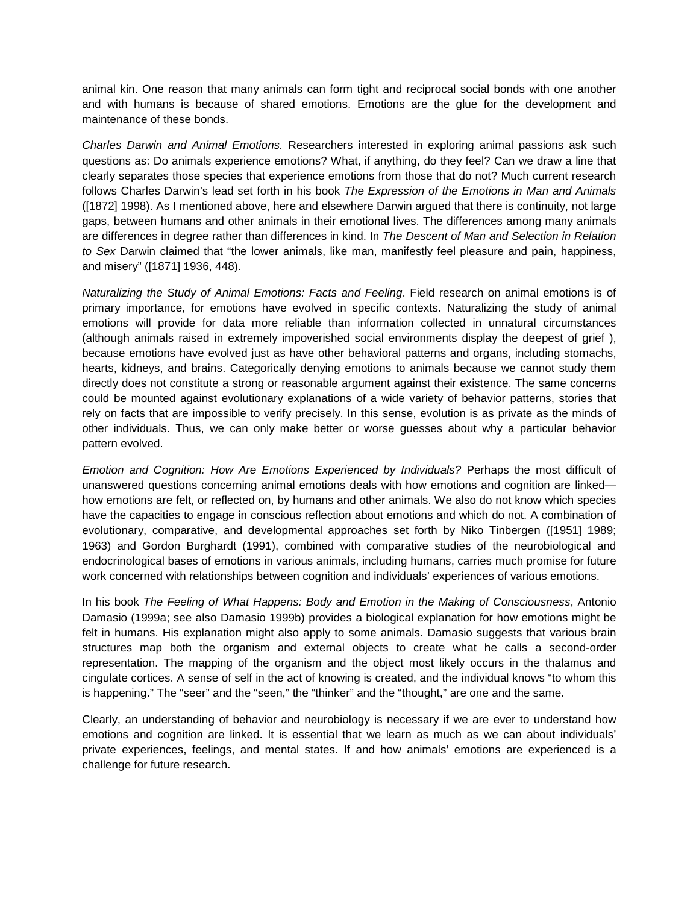animal kin. One reason that many animals can form tight and reciprocal social bonds with one another and with humans is because of shared emotions. Emotions are the glue for the development and maintenance of these bonds.

*Charles Darwin and Animal Emotions.* Researchers interested in exploring animal passions ask such questions as: Do animals experience emotions? What, if anything, do they feel? Can we draw a line that clearly separates those species that experience emotions from those that do not? Much current research follows Charles Darwin's lead set forth in his book *The Expression of the Emotions in Man and Animals*  ([1872] 1998). As I mentioned above, here and elsewhere Darwin argued that there is continuity, not large gaps, between humans and other animals in their emotional lives. The differences among many animals are differences in degree rather than differences in kind. In *The Descent of Man and Selection in Relation to Sex* Darwin claimed that "the lower animals, like man, manifestly feel pleasure and pain, happiness, and misery" ([1871] 1936, 448).

*Naturalizing the Study of Animal Emotions: Facts and Feeling*. Field research on animal emotions is of primary importance, for emotions have evolved in specific contexts. Naturalizing the study of animal emotions will provide for data more reliable than information collected in unnatural circumstances (although animals raised in extremely impoverished social environments display the deepest of grief ), because emotions have evolved just as have other behavioral patterns and organs, including stomachs, hearts, kidneys, and brains. Categorically denying emotions to animals because we cannot study them directly does not constitute a strong or reasonable argument against their existence. The same concerns could be mounted against evolutionary explanations of a wide variety of behavior patterns, stories that rely on facts that are impossible to verify precisely. In this sense, evolution is as private as the minds of other individuals. Thus, we can only make better or worse guesses about why a particular behavior pattern evolved.

*Emotion and Cognition: How Are Emotions Experienced by Individuals?* Perhaps the most difficult of unanswered questions concerning animal emotions deals with how emotions and cognition are linked how emotions are felt, or reflected on, by humans and other animals. We also do not know which species have the capacities to engage in conscious reflection about emotions and which do not. A combination of evolutionary, comparative, and developmental approaches set forth by Niko Tinbergen ([1951] 1989; 1963) and Gordon Burghardt (1991), combined with comparative studies of the neurobiological and endocrinological bases of emotions in various animals, including humans, carries much promise for future work concerned with relationships between cognition and individuals' experiences of various emotions.

In his book *The Feeling of What Happens: Body and Emotion in the Making of Consciousness*, Antonio Damasio (1999a; see also Damasio 1999b) provides a biological explanation for how emotions might be felt in humans. His explanation might also apply to some animals. Damasio suggests that various brain structures map both the organism and external objects to create what he calls a second-order representation. The mapping of the organism and the object most likely occurs in the thalamus and cingulate cortices. A sense of self in the act of knowing is created, and the individual knows "to whom this is happening." The "seer" and the "seen," the "thinker" and the "thought," are one and the same.

Clearly, an understanding of behavior and neurobiology is necessary if we are ever to understand how emotions and cognition are linked. It is essential that we learn as much as we can about individuals' private experiences, feelings, and mental states. If and how animals' emotions are experienced is a challenge for future research.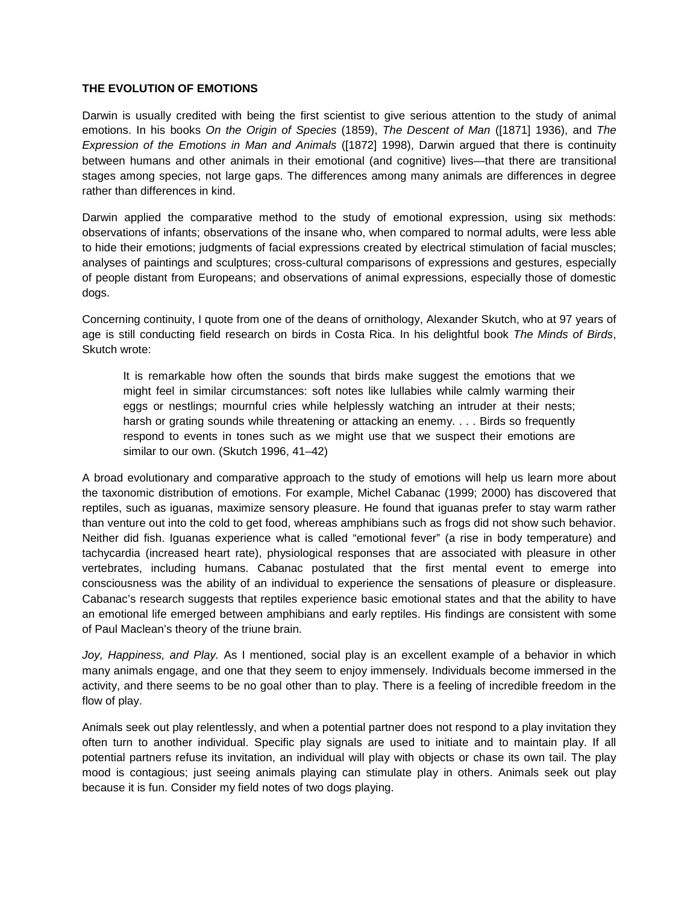#### **THE EVOLUTION OF EMOTIONS**

Darwin is usually credited with being the first scientist to give serious attention to the study of animal emotions. In his books *On the Origin of Species* (1859), *The Descent of Man* ([1871] 1936), and *The Expression of the Emotions in Man and Animals* ([1872] 1998), Darwin argued that there is continuity between humans and other animals in their emotional (and cognitive) lives—that there are transitional stages among species, not large gaps. The differences among many animals are differences in degree rather than differences in kind.

Darwin applied the comparative method to the study of emotional expression, using six methods: observations of infants; observations of the insane who, when compared to normal adults, were less able to hide their emotions; judgments of facial expressions created by electrical stimulation of facial muscles; analyses of paintings and sculptures; cross-cultural comparisons of expressions and gestures, especially of people distant from Europeans; and observations of animal expressions, especially those of domestic dogs.

Concerning continuity, I quote from one of the deans of ornithology, Alexander Skutch, who at 97 years of age is still conducting field research on birds in Costa Rica. In his delightful book *The Minds of Birds*, Skutch wrote:

It is remarkable how often the sounds that birds make suggest the emotions that we might feel in similar circumstances: soft notes like lullabies while calmly warming their eggs or nestlings; mournful cries while helplessly watching an intruder at their nests; harsh or grating sounds while threatening or attacking an enemy. . . . Birds so frequently respond to events in tones such as we might use that we suspect their emotions are similar to our own. (Skutch 1996, 41–42)

A broad evolutionary and comparative approach to the study of emotions will help us learn more about the taxonomic distribution of emotions. For example, Michel Cabanac (1999; 2000) has discovered that reptiles, such as iguanas, maximize sensory pleasure. He found that iguanas prefer to stay warm rather than venture out into the cold to get food, whereas amphibians such as frogs did not show such behavior. Neither did fish. Iguanas experience what is called "emotional fever" (a rise in body temperature) and tachycardia (increased heart rate), physiological responses that are associated with pleasure in other vertebrates, including humans. Cabanac postulated that the first mental event to emerge into consciousness was the ability of an individual to experience the sensations of pleasure or displeasure. Cabanac's research suggests that reptiles experience basic emotional states and that the ability to have an emotional life emerged between amphibians and early reptiles. His findings are consistent with some of Paul Maclean's theory of the triune brain.

*Joy, Happiness, and Play.* As I mentioned, social play is an excellent example of a behavior in which many animals engage, and one that they seem to enjoy immensely. Individuals become immersed in the activity, and there seems to be no goal other than to play. There is a feeling of incredible freedom in the flow of play.

Animals seek out play relentlessly, and when a potential partner does not respond to a play invitation they often turn to another individual. Specific play signals are used to initiate and to maintain play. If all potential partners refuse its invitation, an individual will play with objects or chase its own tail. The play mood is contagious; just seeing animals playing can stimulate play in others. Animals seek out play because it is fun. Consider my field notes of two dogs playing.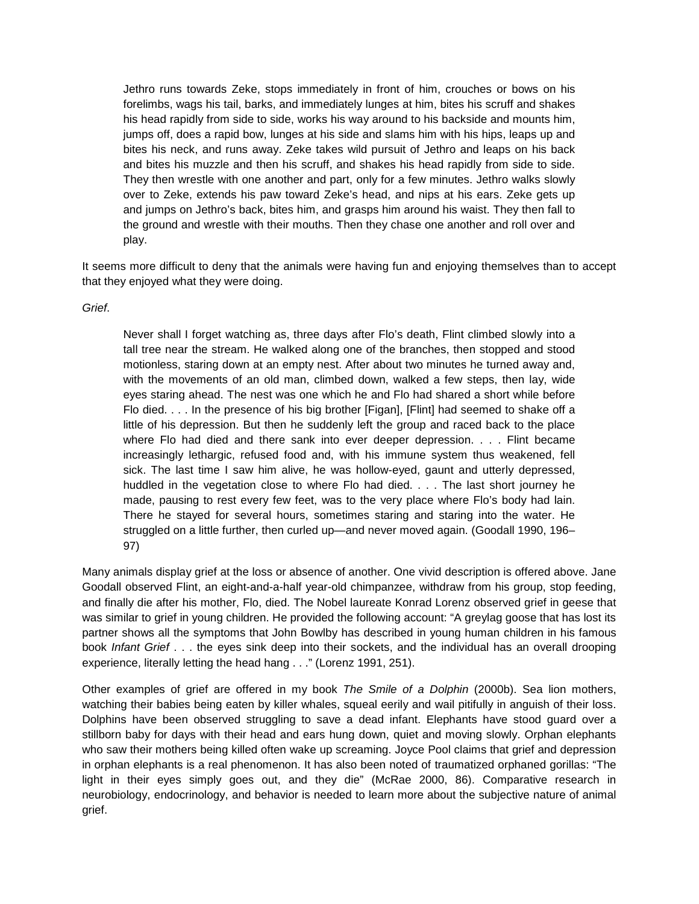Jethro runs towards Zeke, stops immediately in front of him, crouches or bows on his forelimbs, wags his tail, barks, and immediately lunges at him, bites his scruff and shakes his head rapidly from side to side, works his way around to his backside and mounts him, jumps off, does a rapid bow, lunges at his side and slams him with his hips, leaps up and bites his neck, and runs away. Zeke takes wild pursuit of Jethro and leaps on his back and bites his muzzle and then his scruff, and shakes his head rapidly from side to side. They then wrestle with one another and part, only for a few minutes. Jethro walks slowly over to Zeke, extends his paw toward Zeke's head, and nips at his ears. Zeke gets up and jumps on Jethro's back, bites him, and grasps him around his waist. They then fall to the ground and wrestle with their mouths. Then they chase one another and roll over and play.

It seems more difficult to deny that the animals were having fun and enjoying themselves than to accept that they enjoyed what they were doing.

#### *Grief*.

Never shall I forget watching as, three days after Flo's death, Flint climbed slowly into a tall tree near the stream. He walked along one of the branches, then stopped and stood motionless, staring down at an empty nest. After about two minutes he turned away and, with the movements of an old man, climbed down, walked a few steps, then lay, wide eyes staring ahead. The nest was one which he and Flo had shared a short while before Flo died. . . . In the presence of his big brother [Figan], [Flint] had seemed to shake off a little of his depression. But then he suddenly left the group and raced back to the place where Flo had died and there sank into ever deeper depression. . . . Flint became increasingly lethargic, refused food and, with his immune system thus weakened, fell sick. The last time I saw him alive, he was hollow-eyed, gaunt and utterly depressed, huddled in the vegetation close to where Flo had died. . . . The last short journey he made, pausing to rest every few feet, was to the very place where Flo's body had lain. There he stayed for several hours, sometimes staring and staring into the water. He struggled on a little further, then curled up—and never moved again. (Goodall 1990, 196– 97)

Many animals display grief at the loss or absence of another. One vivid description is offered above. Jane Goodall observed Flint, an eight-and-a-half year-old chimpanzee, withdraw from his group, stop feeding, and finally die after his mother, Flo, died. The Nobel laureate Konrad Lorenz observed grief in geese that was similar to grief in young children. He provided the following account: "A greylag goose that has lost its partner shows all the symptoms that John Bowlby has described in young human children in his famous book *Infant Grief* . . . the eyes sink deep into their sockets, and the individual has an overall drooping experience, literally letting the head hang . . ." (Lorenz 1991, 251).

Other examples of grief are offered in my book *The Smile of a Dolphin* (2000b). Sea lion mothers, watching their babies being eaten by killer whales, squeal eerily and wail pitifully in anguish of their loss. Dolphins have been observed struggling to save a dead infant. Elephants have stood guard over a stillborn baby for days with their head and ears hung down, quiet and moving slowly. Orphan elephants who saw their mothers being killed often wake up screaming. Joyce Pool claims that grief and depression in orphan elephants is a real phenomenon. It has also been noted of traumatized orphaned gorillas: "The light in their eyes simply goes out, and they die" (McRae 2000, 86). Comparative research in neurobiology, endocrinology, and behavior is needed to learn more about the subjective nature of animal grief.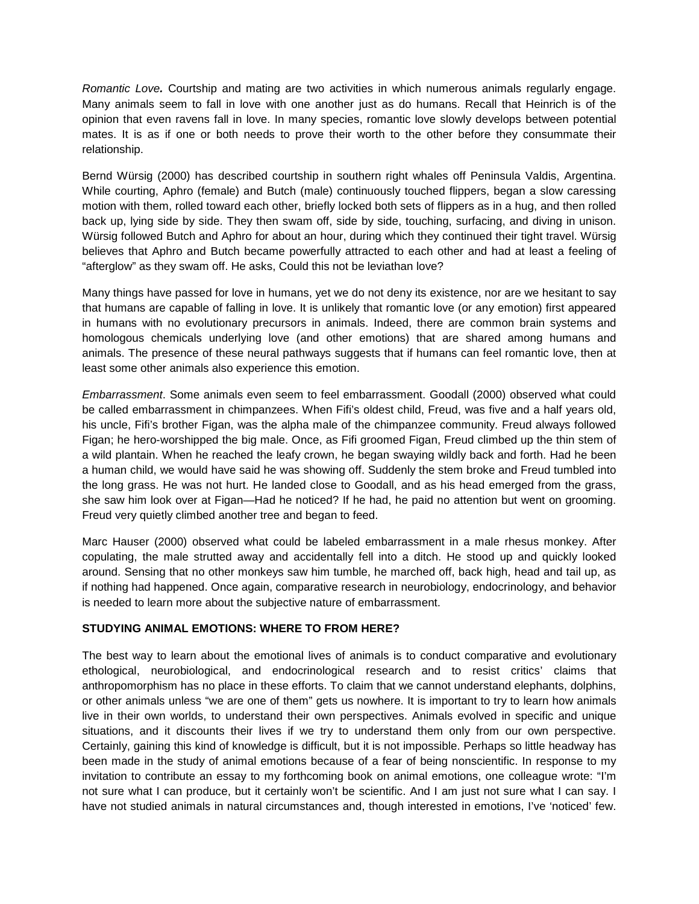*Romantic Love.* Courtship and mating are two activities in which numerous animals regularly engage. Many animals seem to fall in love with one another just as do humans. Recall that Heinrich is of the opinion that even ravens fall in love. In many species, romantic love slowly develops between potential mates. It is as if one or both needs to prove their worth to the other before they consummate their relationship.

Bernd Würsig (2000) has described courtship in southern right whales off Peninsula Valdis, Argentina. While courting, Aphro (female) and Butch (male) continuously touched flippers, began a slow caressing motion with them, rolled toward each other, briefly locked both sets of flippers as in a hug, and then rolled back up, lying side by side. They then swam off, side by side, touching, surfacing, and diving in unison. Würsig followed Butch and Aphro for about an hour, during which they continued their tight travel. Würsig believes that Aphro and Butch became powerfully attracted to each other and had at least a feeling of "afterglow" as they swam off. He asks, Could this not be leviathan love?

Many things have passed for love in humans, yet we do not deny its existence, nor are we hesitant to say that humans are capable of falling in love. It is unlikely that romantic love (or any emotion) first appeared in humans with no evolutionary precursors in animals. Indeed, there are common brain systems and homologous chemicals underlying love (and other emotions) that are shared among humans and animals. The presence of these neural pathways suggests that if humans can feel romantic love, then at least some other animals also experience this emotion.

*Embarrassment*. Some animals even seem to feel embarrassment. Goodall (2000) observed what could be called embarrassment in chimpanzees. When Fifi's oldest child, Freud, was five and a half years old, his uncle, Fifi's brother Figan, was the alpha male of the chimpanzee community. Freud always followed Figan; he hero-worshipped the big male. Once, as Fifi groomed Figan, Freud climbed up the thin stem of a wild plantain. When he reached the leafy crown, he began swaying wildly back and forth. Had he been a human child, we would have said he was showing off. Suddenly the stem broke and Freud tumbled into the long grass. He was not hurt. He landed close to Goodall, and as his head emerged from the grass, she saw him look over at Figan—Had he noticed? If he had, he paid no attention but went on grooming. Freud very quietly climbed another tree and began to feed.

Marc Hauser (2000) observed what could be labeled embarrassment in a male rhesus monkey. After copulating, the male strutted away and accidentally fell into a ditch. He stood up and quickly looked around. Sensing that no other monkeys saw him tumble, he marched off, back high, head and tail up, as if nothing had happened. Once again, comparative research in neurobiology, endocrinology, and behavior is needed to learn more about the subjective nature of embarrassment.

# **STUDYING ANIMAL EMOTIONS: WHERE TO FROM HERE?**

The best way to learn about the emotional lives of animals is to conduct comparative and evolutionary ethological, neurobiological, and endocrinological research and to resist critics' claims that anthropomorphism has no place in these efforts. To claim that we cannot understand elephants, dolphins, or other animals unless "we are one of them" gets us nowhere. It is important to try to learn how animals live in their own worlds, to understand their own perspectives. Animals evolved in specific and unique situations, and it discounts their lives if we try to understand them only from our own perspective. Certainly, gaining this kind of knowledge is difficult, but it is not impossible. Perhaps so little headway has been made in the study of animal emotions because of a fear of being nonscientific. In response to my invitation to contribute an essay to my forthcoming book on animal emotions, one colleague wrote: "I'm not sure what I can produce, but it certainly won't be scientific. And I am just not sure what I can say. I have not studied animals in natural circumstances and, though interested in emotions, I've 'noticed' few.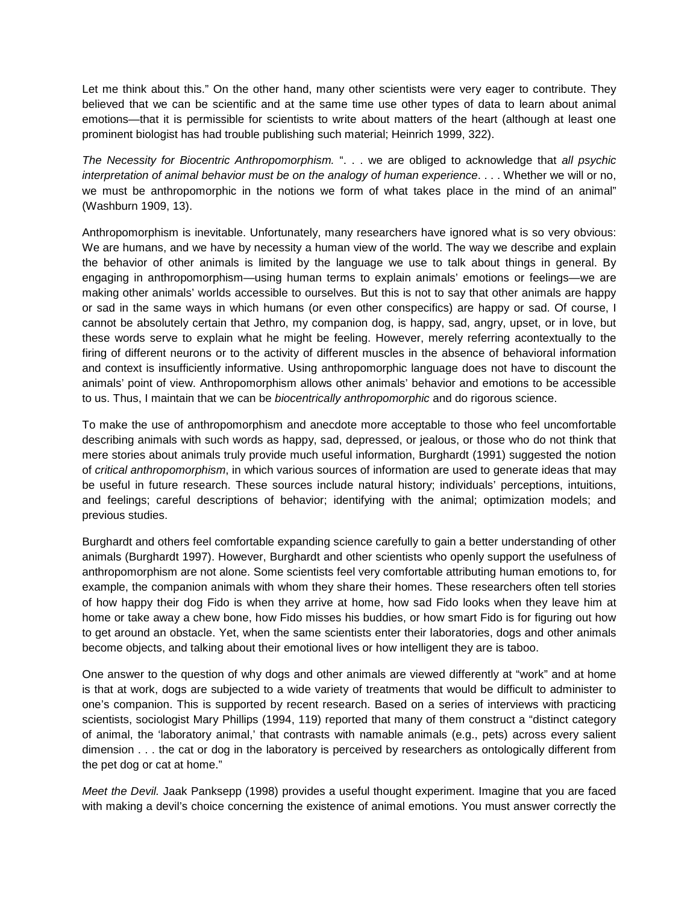Let me think about this." On the other hand, many other scientists were very eager to contribute. They believed that we can be scientific and at the same time use other types of data to learn about animal emotions—that it is permissible for scientists to write about matters of the heart (although at least one prominent biologist has had trouble publishing such material; Heinrich 1999, 322).

*The Necessity for Biocentric Anthropomorphism.* ". . . we are obliged to acknowledge that *all psychic interpretation of animal behavior must be on the analogy of human experience*. . . . Whether we will or no, we must be anthropomorphic in the notions we form of what takes place in the mind of an animal" (Washburn 1909, 13).

Anthropomorphism is inevitable. Unfortunately, many researchers have ignored what is so very obvious: We are humans, and we have by necessity a human view of the world. The way we describe and explain the behavior of other animals is limited by the language we use to talk about things in general. By engaging in anthropomorphism—using human terms to explain animals' emotions or feelings—we are making other animals' worlds accessible to ourselves. But this is not to say that other animals are happy or sad in the same ways in which humans (or even other conspecifics) are happy or sad. Of course, I cannot be absolutely certain that Jethro, my companion dog, is happy, sad, angry, upset, or in love, but these words serve to explain what he might be feeling. However, merely referring acontextually to the firing of different neurons or to the activity of different muscles in the absence of behavioral information and context is insufficiently informative. Using anthropomorphic language does not have to discount the animals' point of view. Anthropomorphism allows other animals' behavior and emotions to be accessible to us. Thus, I maintain that we can be *biocentrically anthropomorphic* and do rigorous science.

To make the use of anthropomorphism and anecdote more acceptable to those who feel uncomfortable describing animals with such words as happy, sad, depressed, or jealous, or those who do not think that mere stories about animals truly provide much useful information, Burghardt (1991) suggested the notion of *critical anthropomorphism*, in which various sources of information are used to generate ideas that may be useful in future research. These sources include natural history; individuals' perceptions, intuitions, and feelings; careful descriptions of behavior; identifying with the animal; optimization models; and previous studies.

Burghardt and others feel comfortable expanding science carefully to gain a better understanding of other animals (Burghardt 1997). However, Burghardt and other scientists who openly support the usefulness of anthropomorphism are not alone. Some scientists feel very comfortable attributing human emotions to, for example, the companion animals with whom they share their homes. These researchers often tell stories of how happy their dog Fido is when they arrive at home, how sad Fido looks when they leave him at home or take away a chew bone, how Fido misses his buddies, or how smart Fido is for figuring out how to get around an obstacle. Yet, when the same scientists enter their laboratories, dogs and other animals become objects, and talking about their emotional lives or how intelligent they are is taboo.

One answer to the question of why dogs and other animals are viewed differently at "work" and at home is that at work, dogs are subjected to a wide variety of treatments that would be difficult to administer to one's companion. This is supported by recent research. Based on a series of interviews with practicing scientists, sociologist Mary Phillips (1994, 119) reported that many of them construct a "distinct category of animal, the 'laboratory animal,' that contrasts with namable animals (e.g., pets) across every salient dimension . . . the cat or dog in the laboratory is perceived by researchers as ontologically different from the pet dog or cat at home."

*Meet the Devil.* Jaak Panksepp (1998) provides a useful thought experiment. Imagine that you are faced with making a devil's choice concerning the existence of animal emotions. You must answer correctly the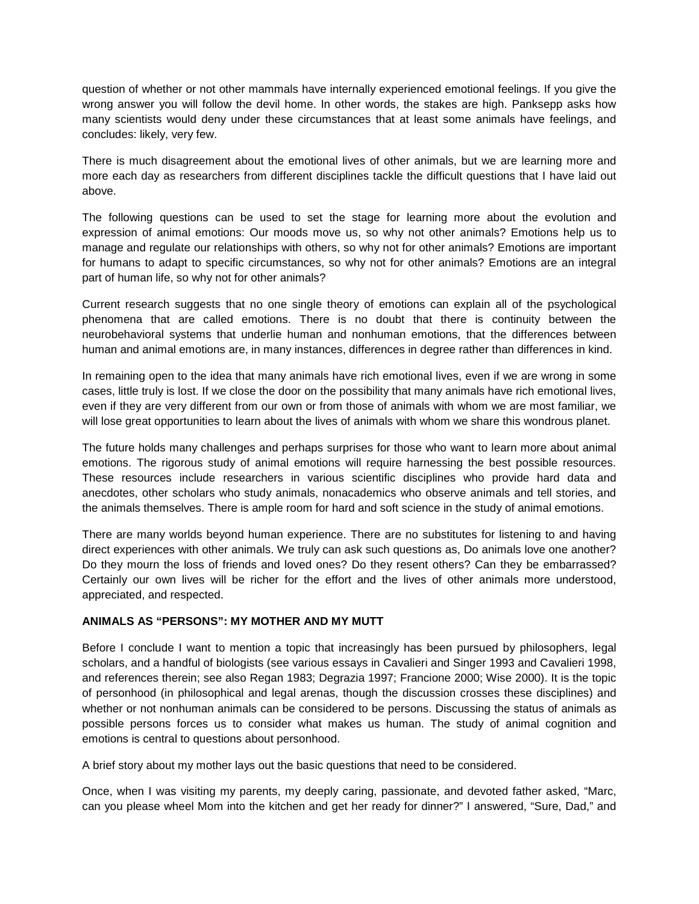question of whether or not other mammals have internally experienced emotional feelings. If you give the wrong answer you will follow the devil home. In other words, the stakes are high. Panksepp asks how many scientists would deny under these circumstances that at least some animals have feelings, and concludes: likely, very few.

There is much disagreement about the emotional lives of other animals, but we are learning more and more each day as researchers from different disciplines tackle the difficult questions that I have laid out above.

The following questions can be used to set the stage for learning more about the evolution and expression of animal emotions: Our moods move us, so why not other animals? Emotions help us to manage and regulate our relationships with others, so why not for other animals? Emotions are important for humans to adapt to specific circumstances, so why not for other animals? Emotions are an integral part of human life, so why not for other animals?

Current research suggests that no one single theory of emotions can explain all of the psychological phenomena that are called emotions. There is no doubt that there is continuity between the neurobehavioral systems that underlie human and nonhuman emotions, that the differences between human and animal emotions are, in many instances, differences in degree rather than differences in kind.

In remaining open to the idea that many animals have rich emotional lives, even if we are wrong in some cases, little truly is lost. If we close the door on the possibility that many animals have rich emotional lives, even if they are very different from our own or from those of animals with whom we are most familiar, we will lose great opportunities to learn about the lives of animals with whom we share this wondrous planet.

The future holds many challenges and perhaps surprises for those who want to learn more about animal emotions. The rigorous study of animal emotions will require harnessing the best possible resources. These resources include researchers in various scientific disciplines who provide hard data and anecdotes, other scholars who study animals, nonacademics who observe animals and tell stories, and the animals themselves. There is ample room for hard and soft science in the study of animal emotions.

There are many worlds beyond human experience. There are no substitutes for listening to and having direct experiences with other animals. We truly can ask such questions as, Do animals love one another? Do they mourn the loss of friends and loved ones? Do they resent others? Can they be embarrassed? Certainly our own lives will be richer for the effort and the lives of other animals more understood, appreciated, and respected.

# **ANIMALS AS "PERSONS": MY MOTHER AND MY MUTT**

Before I conclude I want to mention a topic that increasingly has been pursued by philosophers, legal scholars, and a handful of biologists (see various essays in Cavalieri and Singer 1993 and Cavalieri 1998, and references therein; see also Regan 1983; Degrazia 1997; Francione 2000; Wise 2000). It is the topic of personhood (in philosophical and legal arenas, though the discussion crosses these disciplines) and whether or not nonhuman animals can be considered to be persons. Discussing the status of animals as possible persons forces us to consider what makes us human. The study of animal cognition and emotions is central to questions about personhood.

A brief story about my mother lays out the basic questions that need to be considered.

Once, when I was visiting my parents, my deeply caring, passionate, and devoted father asked, "Marc, can you please wheel Mom into the kitchen and get her ready for dinner?" I answered, "Sure, Dad," and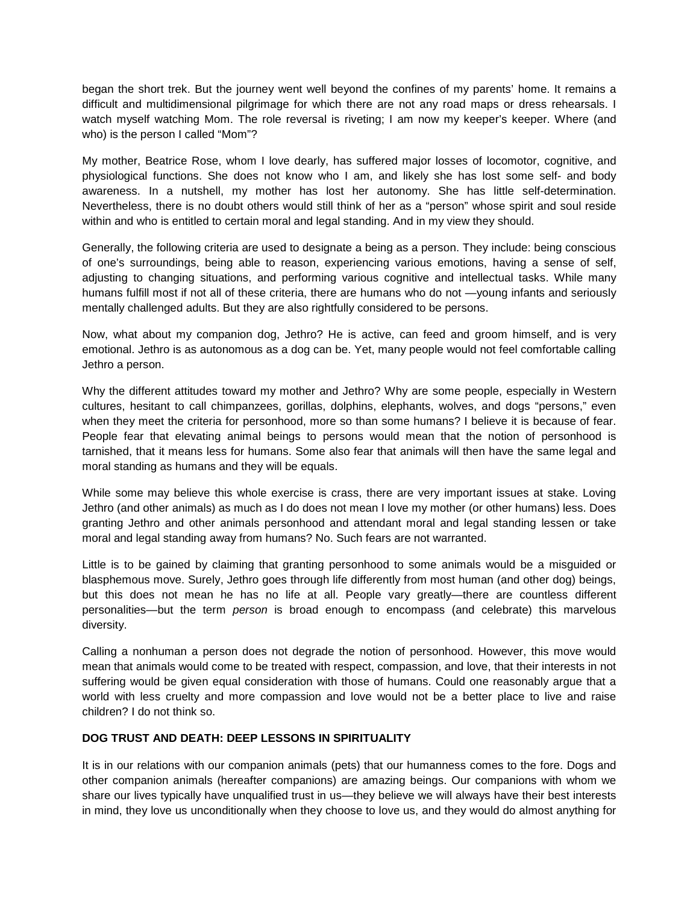began the short trek. But the journey went well beyond the confines of my parents' home. It remains a difficult and multidimensional pilgrimage for which there are not any road maps or dress rehearsals. I watch myself watching Mom. The role reversal is riveting; I am now my keeper's keeper. Where (and who) is the person I called "Mom"?

My mother, Beatrice Rose, whom I love dearly, has suffered major losses of locomotor, cognitive, and physiological functions. She does not know who I am, and likely she has lost some self- and body awareness. In a nutshell, my mother has lost her autonomy. She has little self-determination. Nevertheless, there is no doubt others would still think of her as a "person" whose spirit and soul reside within and who is entitled to certain moral and legal standing. And in my view they should.

Generally, the following criteria are used to designate a being as a person. They include: being conscious of one's surroundings, being able to reason, experiencing various emotions, having a sense of self, adjusting to changing situations, and performing various cognitive and intellectual tasks. While many humans fulfill most if not all of these criteria, there are humans who do not —young infants and seriously mentally challenged adults. But they are also rightfully considered to be persons.

Now, what about my companion dog, Jethro? He is active, can feed and groom himself, and is very emotional. Jethro is as autonomous as a dog can be. Yet, many people would not feel comfortable calling Jethro a person.

Why the different attitudes toward my mother and Jethro? Why are some people, especially in Western cultures, hesitant to call chimpanzees, gorillas, dolphins, elephants, wolves, and dogs "persons," even when they meet the criteria for personhood, more so than some humans? I believe it is because of fear. People fear that elevating animal beings to persons would mean that the notion of personhood is tarnished, that it means less for humans. Some also fear that animals will then have the same legal and moral standing as humans and they will be equals.

While some may believe this whole exercise is crass, there are very important issues at stake. Loving Jethro (and other animals) as much as I do does not mean I love my mother (or other humans) less. Does granting Jethro and other animals personhood and attendant moral and legal standing lessen or take moral and legal standing away from humans? No. Such fears are not warranted.

Little is to be gained by claiming that granting personhood to some animals would be a misguided or blasphemous move. Surely, Jethro goes through life differently from most human (and other dog) beings, but this does not mean he has no life at all. People vary greatly—there are countless different personalities—but the term *person* is broad enough to encompass (and celebrate) this marvelous diversity.

Calling a nonhuman a person does not degrade the notion of personhood. However, this move would mean that animals would come to be treated with respect, compassion, and love, that their interests in not suffering would be given equal consideration with those of humans. Could one reasonably argue that a world with less cruelty and more compassion and love would not be a better place to live and raise children? I do not think so.

# **DOG TRUST AND DEATH: DEEP LESSONS IN SPIRITUALITY**

It is in our relations with our companion animals (pets) that our humanness comes to the fore. Dogs and other companion animals (hereafter companions) are amazing beings. Our companions with whom we share our lives typically have unqualified trust in us—they believe we will always have their best interests in mind, they love us unconditionally when they choose to love us, and they would do almost anything for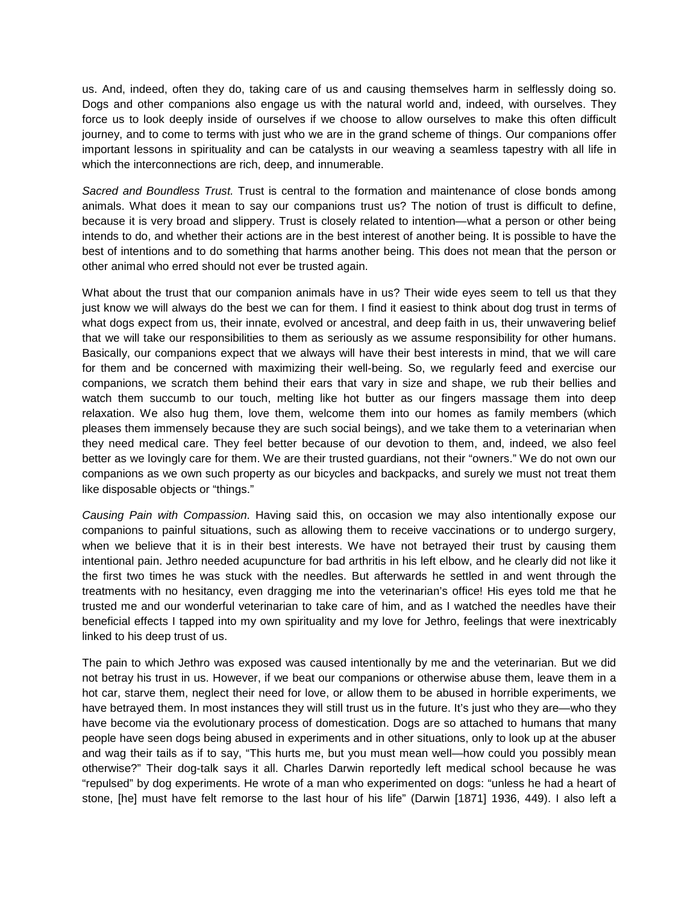us. And, indeed, often they do, taking care of us and causing themselves harm in selflessly doing so. Dogs and other companions also engage us with the natural world and, indeed, with ourselves. They force us to look deeply inside of ourselves if we choose to allow ourselves to make this often difficult journey, and to come to terms with just who we are in the grand scheme of things. Our companions offer important lessons in spirituality and can be catalysts in our weaving a seamless tapestry with all life in which the interconnections are rich, deep, and innumerable.

*Sacred and Boundless Trust.* Trust is central to the formation and maintenance of close bonds among animals. What does it mean to say our companions trust us? The notion of trust is difficult to define, because it is very broad and slippery. Trust is closely related to intention—what a person or other being intends to do, and whether their actions are in the best interest of another being. It is possible to have the best of intentions and to do something that harms another being. This does not mean that the person or other animal who erred should not ever be trusted again.

What about the trust that our companion animals have in us? Their wide eyes seem to tell us that they just know we will always do the best we can for them. I find it easiest to think about dog trust in terms of what dogs expect from us, their innate, evolved or ancestral, and deep faith in us, their unwavering belief that we will take our responsibilities to them as seriously as we assume responsibility for other humans. Basically, our companions expect that we always will have their best interests in mind, that we will care for them and be concerned with maximizing their well-being. So, we regularly feed and exercise our companions, we scratch them behind their ears that vary in size and shape, we rub their bellies and watch them succumb to our touch, melting like hot butter as our fingers massage them into deep relaxation. We also hug them, love them, welcome them into our homes as family members (which pleases them immensely because they are such social beings), and we take them to a veterinarian when they need medical care. They feel better because of our devotion to them, and, indeed, we also feel better as we lovingly care for them. We are their trusted guardians, not their "owners." We do not own our companions as we own such property as our bicycles and backpacks, and surely we must not treat them like disposable objects or "things."

*Causing Pain with Compassion*. Having said this, on occasion we may also intentionally expose our companions to painful situations, such as allowing them to receive vaccinations or to undergo surgery, when we believe that it is in their best interests. We have not betrayed their trust by causing them intentional pain. Jethro needed acupuncture for bad arthritis in his left elbow, and he clearly did not like it the first two times he was stuck with the needles. But afterwards he settled in and went through the treatments with no hesitancy, even dragging me into the veterinarian's office! His eyes told me that he trusted me and our wonderful veterinarian to take care of him, and as I watched the needles have their beneficial effects I tapped into my own spirituality and my love for Jethro, feelings that were inextricably linked to his deep trust of us.

The pain to which Jethro was exposed was caused intentionally by me and the veterinarian. But we did not betray his trust in us. However, if we beat our companions or otherwise abuse them, leave them in a hot car, starve them, neglect their need for love, or allow them to be abused in horrible experiments, we have betrayed them. In most instances they will still trust us in the future. It's just who they are—who they have become via the evolutionary process of domestication. Dogs are so attached to humans that many people have seen dogs being abused in experiments and in other situations, only to look up at the abuser and wag their tails as if to say, "This hurts me, but you must mean well—how could you possibly mean otherwise?" Their dog-talk says it all. Charles Darwin reportedly left medical school because he was "repulsed" by dog experiments. He wrote of a man who experimented on dogs: "unless he had a heart of stone, [he] must have felt remorse to the last hour of his life" (Darwin [1871] 1936, 449). I also left a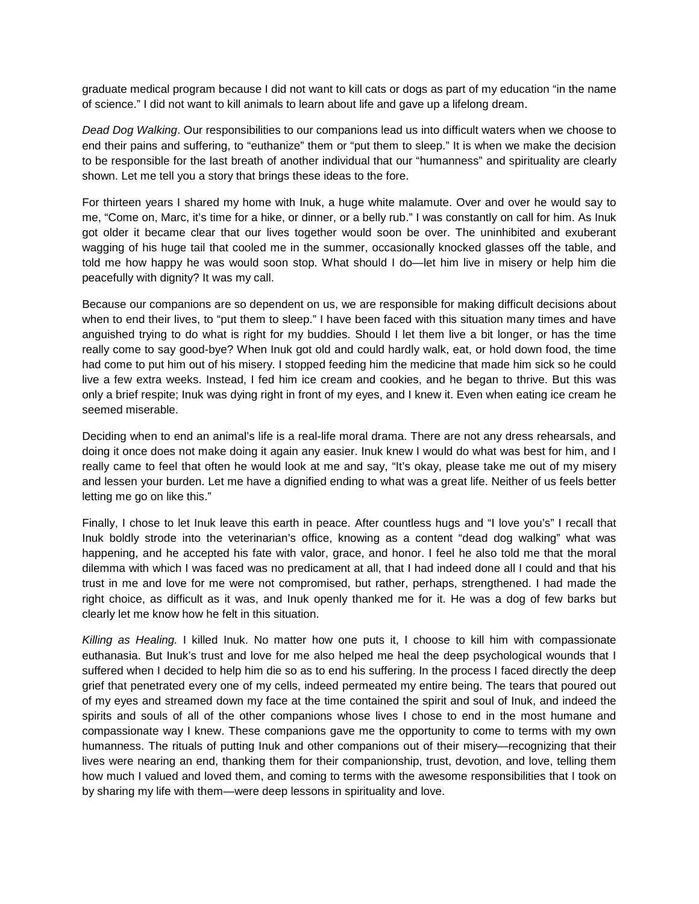graduate medical program because I did not want to kill cats or dogs as part of my education "in the name of science." I did not want to kill animals to learn about life and gave up a lifelong dream.

*Dead Dog Walking*. Our responsibilities to our companions lead us into difficult waters when we choose to end their pains and suffering, to "euthanize" them or "put them to sleep." It is when we make the decision to be responsible for the last breath of another individual that our "humanness" and spirituality are clearly shown. Let me tell you a story that brings these ideas to the fore.

For thirteen years I shared my home with Inuk, a huge white malamute. Over and over he would say to me, "Come on, Marc, it's time for a hike, or dinner, or a belly rub." I was constantly on call for him. As Inuk got older it became clear that our lives together would soon be over. The uninhibited and exuberant wagging of his huge tail that cooled me in the summer, occasionally knocked glasses off the table, and told me how happy he was would soon stop. What should I do—let him live in misery or help him die peacefully with dignity? It was my call.

Because our companions are so dependent on us, we are responsible for making difficult decisions about when to end their lives, to "put them to sleep." I have been faced with this situation many times and have anguished trying to do what is right for my buddies. Should I let them live a bit longer, or has the time really come to say good-bye? When Inuk got old and could hardly walk, eat, or hold down food, the time had come to put him out of his misery. I stopped feeding him the medicine that made him sick so he could live a few extra weeks. Instead, I fed him ice cream and cookies, and he began to thrive. But this was only a brief respite; Inuk was dying right in front of my eyes, and I knew it. Even when eating ice cream he seemed miserable.

Deciding when to end an animal's life is a real-life moral drama. There are not any dress rehearsals, and doing it once does not make doing it again any easier. Inuk knew I would do what was best for him, and I really came to feel that often he would look at me and say, "It's okay, please take me out of my misery and lessen your burden. Let me have a dignified ending to what was a great life. Neither of us feels better letting me go on like this."

Finally, I chose to let Inuk leave this earth in peace. After countless hugs and "I love you's" I recall that Inuk boldly strode into the veterinarian's office, knowing as a content "dead dog walking" what was happening, and he accepted his fate with valor, grace, and honor. I feel he also told me that the moral dilemma with which I was faced was no predicament at all, that I had indeed done all I could and that his trust in me and love for me were not compromised, but rather, perhaps, strengthened. I had made the right choice, as difficult as it was, and Inuk openly thanked me for it. He was a dog of few barks but clearly let me know how he felt in this situation.

*Killing as Healing.* I killed Inuk. No matter how one puts it, I choose to kill him with compassionate euthanasia. But Inuk's trust and love for me also helped me heal the deep psychological wounds that I suffered when I decided to help him die so as to end his suffering. In the process I faced directly the deep grief that penetrated every one of my cells, indeed permeated my entire being. The tears that poured out of my eyes and streamed down my face at the time contained the spirit and soul of Inuk, and indeed the spirits and souls of all of the other companions whose lives I chose to end in the most humane and compassionate way I knew. These companions gave me the opportunity to come to terms with my own humanness. The rituals of putting Inuk and other companions out of their misery—recognizing that their lives were nearing an end, thanking them for their companionship, trust, devotion, and love, telling them how much I valued and loved them, and coming to terms with the awesome responsibilities that I took on by sharing my life with them—were deep lessons in spirituality and love.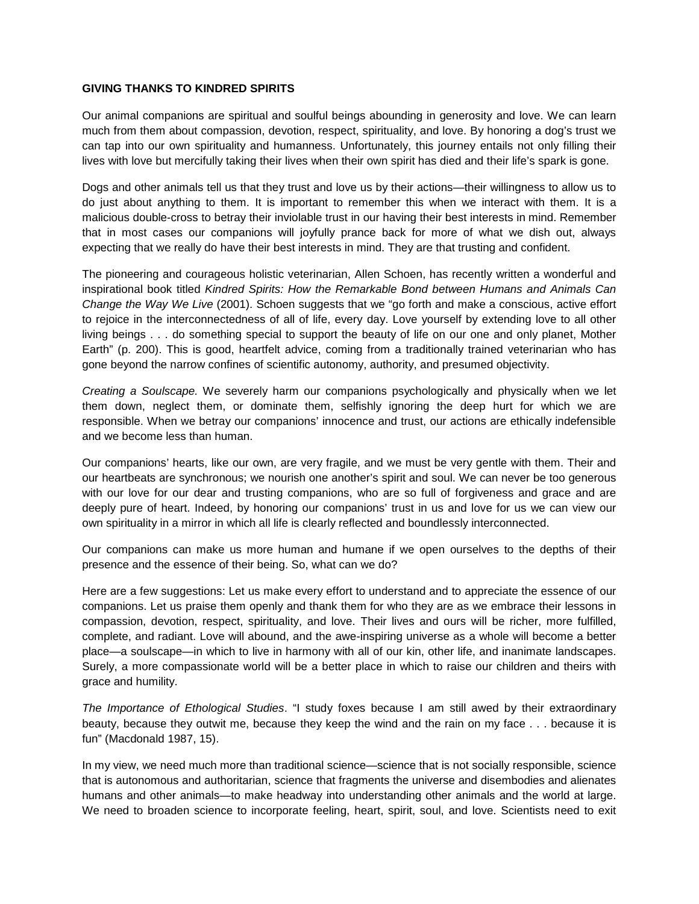#### **GIVING THANKS TO KINDRED SPIRITS**

Our animal companions are spiritual and soulful beings abounding in generosity and love. We can learn much from them about compassion, devotion, respect, spirituality, and love. By honoring a dog's trust we can tap into our own spirituality and humanness. Unfortunately, this journey entails not only filling their lives with love but mercifully taking their lives when their own spirit has died and their life's spark is gone.

Dogs and other animals tell us that they trust and love us by their actions—their willingness to allow us to do just about anything to them. It is important to remember this when we interact with them. It is a malicious double-cross to betray their inviolable trust in our having their best interests in mind. Remember that in most cases our companions will joyfully prance back for more of what we dish out, always expecting that we really do have their best interests in mind. They are that trusting and confident.

The pioneering and courageous holistic veterinarian, Allen Schoen, has recently written a wonderful and inspirational book titled *Kindred Spirits: How the Remarkable Bond between Humans and Animals Can Change the Way We Live* (2001). Schoen suggests that we "go forth and make a conscious, active effort to rejoice in the interconnectedness of all of life, every day. Love yourself by extending love to all other living beings . . . do something special to support the beauty of life on our one and only planet, Mother Earth" (p. 200). This is good, heartfelt advice, coming from a traditionally trained veterinarian who has gone beyond the narrow confines of scientific autonomy, authority, and presumed objectivity.

*Creating a Soulscape.* We severely harm our companions psychologically and physically when we let them down, neglect them, or dominate them, selfishly ignoring the deep hurt for which we are responsible. When we betray our companions' innocence and trust, our actions are ethically indefensible and we become less than human.

Our companions' hearts, like our own, are very fragile, and we must be very gentle with them. Their and our heartbeats are synchronous; we nourish one another's spirit and soul. We can never be too generous with our love for our dear and trusting companions, who are so full of forgiveness and grace and are deeply pure of heart. Indeed, by honoring our companions' trust in us and love for us we can view our own spirituality in a mirror in which all life is clearly reflected and boundlessly interconnected.

Our companions can make us more human and humane if we open ourselves to the depths of their presence and the essence of their being. So, what can we do?

Here are a few suggestions: Let us make every effort to understand and to appreciate the essence of our companions. Let us praise them openly and thank them for who they are as we embrace their lessons in compassion, devotion, respect, spirituality, and love. Their lives and ours will be richer, more fulfilled, complete, and radiant. Love will abound, and the awe-inspiring universe as a whole will become a better place—a soulscape—in which to live in harmony with all of our kin, other life, and inanimate landscapes. Surely, a more compassionate world will be a better place in which to raise our children and theirs with grace and humility.

*The Importance of Ethological Studies*. "I study foxes because I am still awed by their extraordinary beauty, because they outwit me, because they keep the wind and the rain on my face . . . because it is fun" (Macdonald 1987, 15).

In my view, we need much more than traditional science—science that is not socially responsible, science that is autonomous and authoritarian, science that fragments the universe and disembodies and alienates humans and other animals—to make headway into understanding other animals and the world at large. We need to broaden science to incorporate feeling, heart, spirit, soul, and love. Scientists need to exit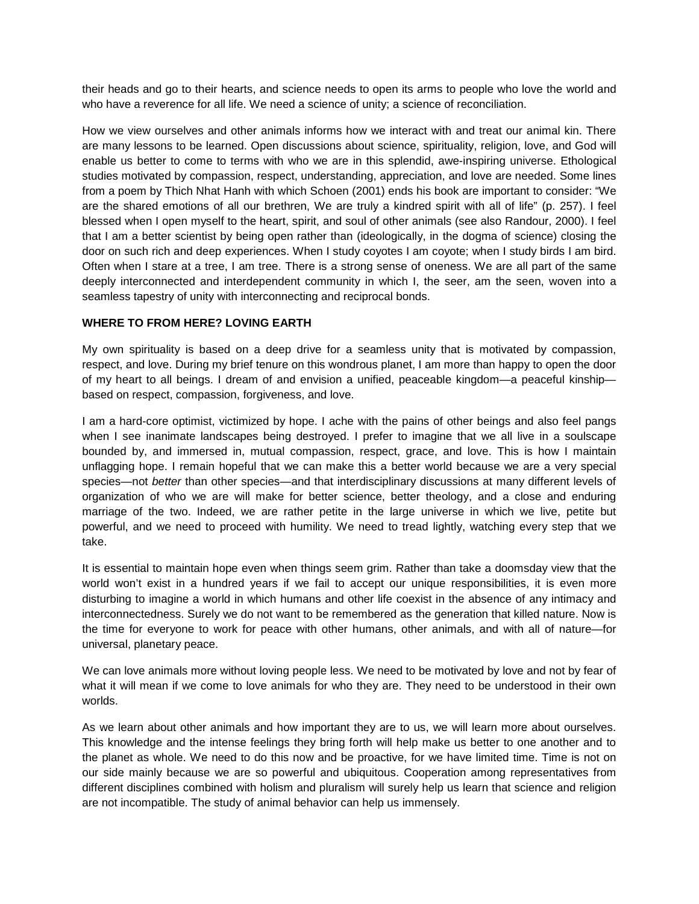their heads and go to their hearts, and science needs to open its arms to people who love the world and who have a reverence for all life. We need a science of unity; a science of reconciliation.

How we view ourselves and other animals informs how we interact with and treat our animal kin. There are many lessons to be learned. Open discussions about science, spirituality, religion, love, and God will enable us better to come to terms with who we are in this splendid, awe-inspiring universe. Ethological studies motivated by compassion, respect, understanding, appreciation, and love are needed. Some lines from a poem by Thich Nhat Hanh with which Schoen (2001) ends his book are important to consider: "We are the shared emotions of all our brethren, We are truly a kindred spirit with all of life" (p. 257). I feel blessed when I open myself to the heart, spirit, and soul of other animals (see also Randour, 2000). I feel that I am a better scientist by being open rather than (ideologically, in the dogma of science) closing the door on such rich and deep experiences. When I study coyotes I am coyote; when I study birds I am bird. Often when I stare at a tree, I am tree. There is a strong sense of oneness. We are all part of the same deeply interconnected and interdependent community in which I, the seer, am the seen, woven into a seamless tapestry of unity with interconnecting and reciprocal bonds.

# **WHERE TO FROM HERE? LOVING EARTH**

My own spirituality is based on a deep drive for a seamless unity that is motivated by compassion, respect, and love. During my brief tenure on this wondrous planet, I am more than happy to open the door of my heart to all beings. I dream of and envision a unified, peaceable kingdom—a peaceful kinship based on respect, compassion, forgiveness, and love.

I am a hard-core optimist, victimized by hope. I ache with the pains of other beings and also feel pangs when I see inanimate landscapes being destroyed. I prefer to imagine that we all live in a soulscape bounded by, and immersed in, mutual compassion, respect, grace, and love. This is how I maintain unflagging hope. I remain hopeful that we can make this a better world because we are a very special species—not *better* than other species—and that interdisciplinary discussions at many different levels of organization of who we are will make for better science, better theology, and a close and enduring marriage of the two. Indeed, we are rather petite in the large universe in which we live, petite but powerful, and we need to proceed with humility. We need to tread lightly, watching every step that we take.

It is essential to maintain hope even when things seem grim. Rather than take a doomsday view that the world won't exist in a hundred years if we fail to accept our unique responsibilities, it is even more disturbing to imagine a world in which humans and other life coexist in the absence of any intimacy and interconnectedness. Surely we do not want to be remembered as the generation that killed nature. Now is the time for everyone to work for peace with other humans, other animals, and with all of nature—for universal, planetary peace.

We can love animals more without loving people less. We need to be motivated by love and not by fear of what it will mean if we come to love animals for who they are. They need to be understood in their own worlds.

As we learn about other animals and how important they are to us, we will learn more about ourselves. This knowledge and the intense feelings they bring forth will help make us better to one another and to the planet as whole. We need to do this now and be proactive, for we have limited time. Time is not on our side mainly because we are so powerful and ubiquitous. Cooperation among representatives from different disciplines combined with holism and pluralism will surely help us learn that science and religion are not incompatible. The study of animal behavior can help us immensely.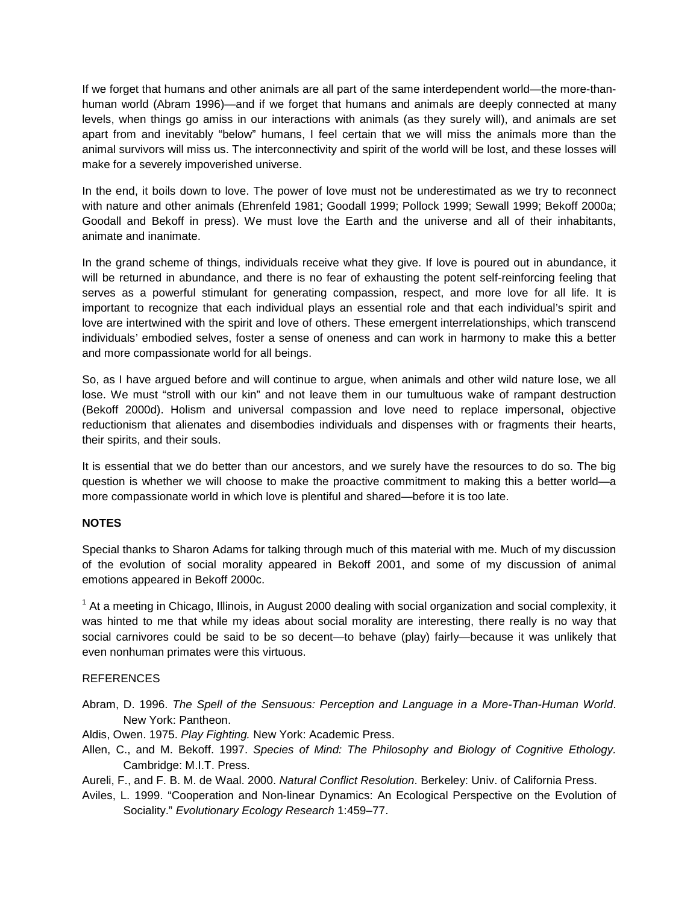If we forget that humans and other animals are all part of the same interdependent world—the more-thanhuman world (Abram 1996)—and if we forget that humans and animals are deeply connected at many levels, when things go amiss in our interactions with animals (as they surely will), and animals are set apart from and inevitably "below" humans, I feel certain that we will miss the animals more than the animal survivors will miss us. The interconnectivity and spirit of the world will be lost, and these losses will make for a severely impoverished universe.

In the end, it boils down to love. The power of love must not be underestimated as we try to reconnect with nature and other animals (Ehrenfeld 1981; Goodall 1999; Pollock 1999; Sewall 1999; Bekoff 2000a; Goodall and Bekoff in press). We must love the Earth and the universe and all of their inhabitants, animate and inanimate.

In the grand scheme of things, individuals receive what they give. If love is poured out in abundance, it will be returned in abundance, and there is no fear of exhausting the potent self-reinforcing feeling that serves as a powerful stimulant for generating compassion, respect, and more love for all life. It is important to recognize that each individual plays an essential role and that each individual's spirit and love are intertwined with the spirit and love of others. These emergent interrelationships, which transcend individuals' embodied selves, foster a sense of oneness and can work in harmony to make this a better and more compassionate world for all beings.

So, as I have argued before and will continue to argue, when animals and other wild nature lose, we all lose. We must "stroll with our kin" and not leave them in our tumultuous wake of rampant destruction (Bekoff 2000d). Holism and universal compassion and love need to replace impersonal, objective reductionism that alienates and disembodies individuals and dispenses with or fragments their hearts, their spirits, and their souls.

It is essential that we do better than our ancestors, and we surely have the resources to do so. The big question is whether we will choose to make the proactive commitment to making this a better world—a more compassionate world in which love is plentiful and shared—before it is too late.

# **NOTES**

Special thanks to Sharon Adams for talking through much of this material with me. Much of my discussion of the evolution of social morality appeared in Bekoff 2001, and some of my discussion of animal emotions appeared in Bekoff 2000c.

 $1$  At a meeting in Chicago, Illinois, in August 2000 dealing with social organization and social complexity, it was hinted to me that while my ideas about social morality are interesting, there really is no way that social carnivores could be said to be so decent—to behave (play) fairly—because it was unlikely that even nonhuman primates were this virtuous.

#### **REFERENCES**

Abram, D. 1996. *The Spell of the Sensuous: Perception and Language in a More-Than-Human World*. New York: Pantheon.

Aldis, Owen. 1975. *Play Fighting.* New York: Academic Press.

- Allen, C., and M. Bekoff. 1997. *Species of Mind: The Philosophy and Biology of Cognitive Ethology.*  Cambridge: M.I.T. Press.
- Aureli, F., and F. B. M. de Waal. 2000. *Natural Conflict Resolution*. Berkeley: Univ. of California Press.
- Aviles, L. 1999. "Cooperation and Non-linear Dynamics: An Ecological Perspective on the Evolution of Sociality." *Evolutionary Ecology Research* 1:459–77.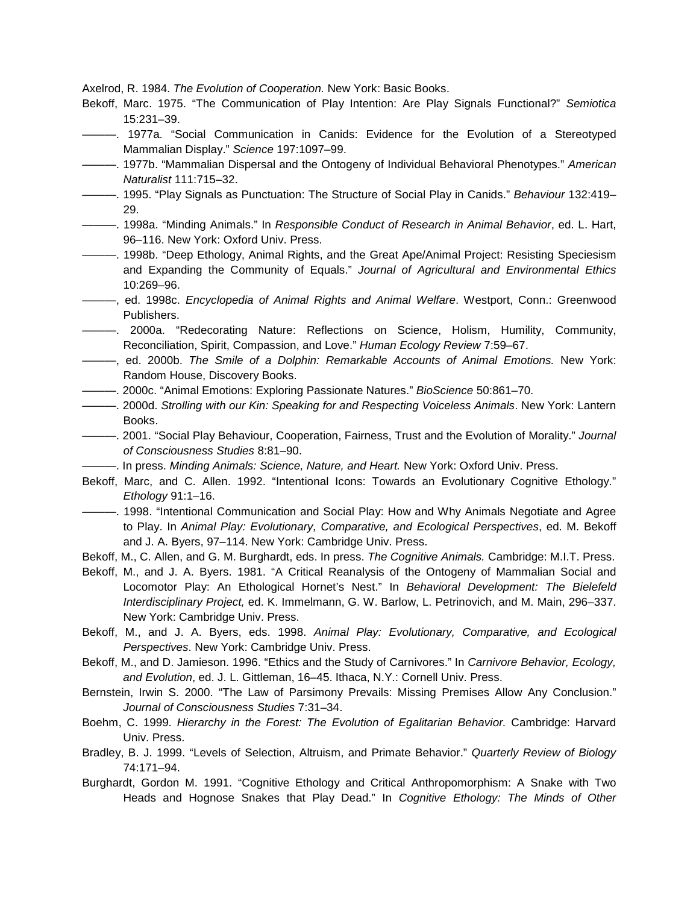Axelrod, R. 1984. *The Evolution of Cooperation.* New York: Basic Books.

- Bekoff, Marc. 1975. "The Communication of Play Intention: Are Play Signals Functional?" *Semiotica*  15:231–39.
- ———. 1977a. "Social Communication in Canids: Evidence for the Evolution of a Stereotyped Mammalian Display." *Science* 197:1097–99.
- ———. 1977b. "Mammalian Dispersal and the Ontogeny of Individual Behavioral Phenotypes." *American Naturalist* 111:715–32.
- ———. 1995. "Play Signals as Punctuation: The Structure of Social Play in Canids." *Behaviour* 132:419– 29.
- ———. 1998a. "Minding Animals." In *Responsible Conduct of Research in Animal Behavior*, ed. L. Hart, 96–116. New York: Oxford Univ. Press.
- ———. 1998b. "Deep Ethology, Animal Rights, and the Great Ape/Animal Project: Resisting Speciesism and Expanding the Community of Equals." *Journal of Agricultural and Environmental Ethics*  10:269–96.
- ———, ed. 1998c. *Encyclopedia of Animal Rights and Animal Welfare*. Westport, Conn.: Greenwood Publishers.
- ———. 2000a. "Redecorating Nature: Reflections on Science, Holism, Humility, Community, Reconciliation, Spirit, Compassion, and Love." *Human Ecology Review* 7:59–67.
- ———, ed. 2000b. *The Smile of a Dolphin: Remarkable Accounts of Animal Emotions.* New York: Random House, Discovery Books.
- ———. 2000c. "Animal Emotions: Exploring Passionate Natures." *BioScience* 50:861–70.
- ———. 2000d. *Strolling with our Kin: Speaking for and Respecting Voiceless Animals*. New York: Lantern Books.
- ———. 2001. "Social Play Behaviour, Cooperation, Fairness, Trust and the Evolution of Morality." *Journal of Consciousness Studies* 8:81–90.
- ———. In press. *Minding Animals: Science, Nature, and Heart.* New York: Oxford Univ. Press.
- Bekoff, Marc, and C. Allen. 1992. "Intentional Icons: Towards an Evolutionary Cognitive Ethology." *Ethology* 91:1–16.
- ———. 1998. "Intentional Communication and Social Play: How and Why Animals Negotiate and Agree to Play. In *Animal Play: Evolutionary, Comparative, and Ecological Perspectives*, ed. M. Bekoff and J. A. Byers, 97–114. New York: Cambridge Univ. Press.
- Bekoff, M., C. Allen, and G. M. Burghardt, eds. In press. *The Cognitive Animals.* Cambridge: M.I.T. Press.
- Bekoff, M., and J. A. Byers. 1981. "A Critical Reanalysis of the Ontogeny of Mammalian Social and Locomotor Play: An Ethological Hornet's Nest." In *Behavioral Development: The Bielefeld Interdisciplinary Project,* ed. K. Immelmann, G. W. Barlow, L. Petrinovich, and M. Main, 296–337. New York: Cambridge Univ. Press.
- Bekoff, M., and J. A. Byers, eds. 1998. *Animal Play: Evolutionary, Comparative, and Ecological Perspectives*. New York: Cambridge Univ. Press.
- Bekoff, M., and D. Jamieson. 1996. "Ethics and the Study of Carnivores." In *Carnivore Behavior, Ecology, and Evolution*, ed. J. L. Gittleman, 16–45. Ithaca, N.Y.: Cornell Univ. Press.
- Bernstein, Irwin S. 2000. "The Law of Parsimony Prevails: Missing Premises Allow Any Conclusion." *Journal of Consciousness Studies* 7:31–34.
- Boehm, C. 1999. *Hierarchy in the Forest: The Evolution of Egalitarian Behavior.* Cambridge: Harvard Univ. Press.
- Bradley, B. J. 1999. "Levels of Selection, Altruism, and Primate Behavior." *Quarterly Review of Biology*  74:171–94.
- Burghardt, Gordon M. 1991. "Cognitive Ethology and Critical Anthropomorphism: A Snake with Two Heads and Hognose Snakes that Play Dead." In *Cognitive Ethology: The Minds of Other*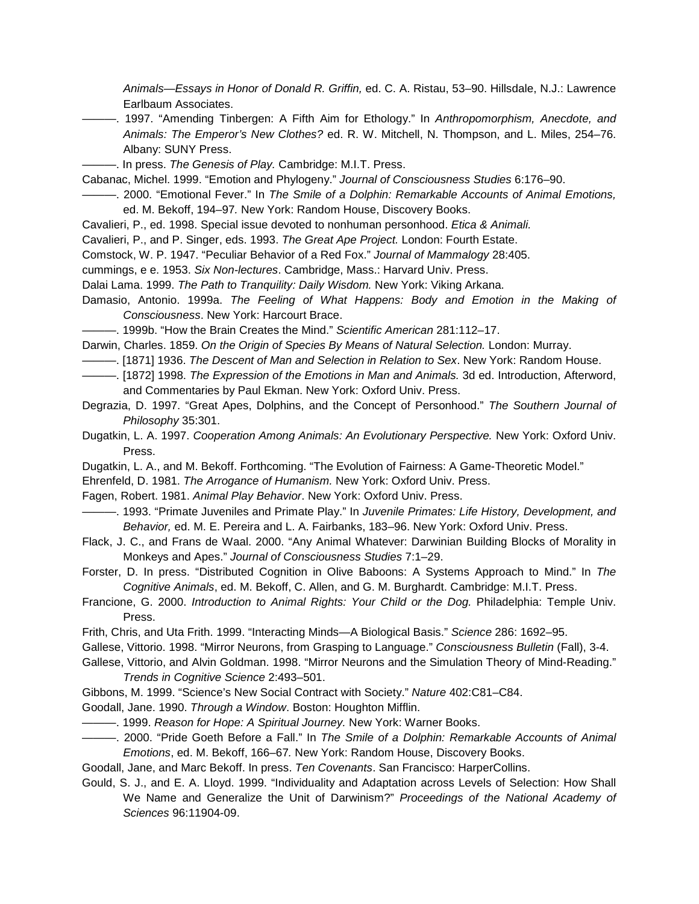*Animals—Essays in Honor of Donald R. Griffin,* ed. C. A. Ristau, 53–90. Hillsdale, N.J.: Lawrence Earlbaum Associates.

- ———. 1997. "Amending Tinbergen: A Fifth Aim for Ethology." In *Anthropomorphism, Anecdote, and Animals: The Emperor's New Clothes?* ed. R. W. Mitchell, N. Thompson, and L. Miles, 254–76. Albany: SUNY Press.
- ———. In press. *The Genesis of Play.* Cambridge: M.I.T. Press.

Cabanac, Michel. 1999. "Emotion and Phylogeny." *Journal of Consciousness Studies* 6:176–90.

- ———. 2000. "Emotional Fever." In *The Smile of a Dolphin: Remarkable Accounts of Animal Emotions,*  ed. M. Bekoff, 194–97*.* New York: Random House, Discovery Books.
- Cavalieri, P., ed. 1998. Special issue devoted to nonhuman personhood. *Etica & Animali.*

Cavalieri, P., and P. Singer, eds. 1993. *The Great Ape Project.* London: Fourth Estate.

Comstock, W. P. 1947. "Peculiar Behavior of a Red Fox." *Journal of Mammalogy* 28:405.

cummings, e e. 1953. *Six Non-lectures*. Cambridge, Mass.: Harvard Univ. Press.

Dalai Lama. 1999. *The Path to Tranquility: Daily Wisdom.* New York: Viking Arkana.

Damasio, Antonio. 1999a. *The Feeling of What Happens: Body and Emotion in the Making of Consciousness*. New York: Harcourt Brace.

———. 1999b. "How the Brain Creates the Mind." *Scientific American* 281:112–17.

Darwin, Charles. 1859. *On the Origin of Species By Means of Natural Selection.* London: Murray.

———. [1871] 1936. *The Descent of Man and Selection in Relation to Sex*. New York: Random House.

———. [1872] 1998. *The Expression of the Emotions in Man and Animals.* 3d ed. Introduction, Afterword, and Commentaries by Paul Ekman. New York: Oxford Univ. Press.

Degrazia, D. 1997. "Great Apes, Dolphins, and the Concept of Personhood." *The Southern Journal of Philosophy* 35:301.

- Dugatkin, L. A. 1997. *Cooperation Among Animals: An Evolutionary Perspective.* New York: Oxford Univ. Press.
- Dugatkin, L. A., and M. Bekoff. Forthcoming. "The Evolution of Fairness: A Game-Theoretic Model."

Ehrenfeld, D. 1981. *The Arrogance of Humanism.* New York: Oxford Univ. Press.

Fagen, Robert. 1981. *Animal Play Behavior*. New York: Oxford Univ. Press.

———. 1993. "Primate Juveniles and Primate Play." In *Juvenile Primates: Life History, Development, and Behavior,* ed. M. E. Pereira and L. A. Fairbanks, 183–96. New York: Oxford Univ. Press.

Flack, J. C., and Frans de Waal. 2000. "Any Animal Whatever: Darwinian Building Blocks of Morality in Monkeys and Apes." *Journal of Consciousness Studies* 7:1–29.

Forster, D. In press. "Distributed Cognition in Olive Baboons: A Systems Approach to Mind." In *The Cognitive Animals*, ed. M. Bekoff, C. Allen, and G. M. Burghardt. Cambridge: M.I.T. Press.

Francione, G. 2000. *Introduction to Animal Rights: Your Child or the Dog.* Philadelphia: Temple Univ. Press.

- Frith, Chris, and Uta Frith. 1999. "Interacting Minds—A Biological Basis." *Science* 286: 1692–95.
- Gallese, Vittorio. 1998. "Mirror Neurons, from Grasping to Language." *Consciousness Bulletin* (Fall), 3-4.
- Gallese, Vittorio, and Alvin Goldman. 1998. "Mirror Neurons and the Simulation Theory of Mind-Reading." *Trends in Cognitive Science* 2:493–501.
- Gibbons, M. 1999. "Science's New Social Contract with Society." *Nature* 402:C81–C84.
- Goodall, Jane. 1990. *Through a Window*. Boston: Houghton Mifflin.

———. 1999. *Reason for Hope: A Spiritual Journey.* New York: Warner Books.

———. 2000. "Pride Goeth Before a Fall." In *The Smile of a Dolphin: Remarkable Accounts of Animal Emotions*, ed. M. Bekoff, 166–67*.* New York: Random House, Discovery Books.

Goodall, Jane, and Marc Bekoff. In press. *Ten Covenants*. San Francisco: HarperCollins.

Gould, S. J., and E. A. Lloyd. 1999. "Individuality and Adaptation across Levels of Selection: How Shall We Name and Generalize the Unit of Darwinism?" *Proceedings of the National Academy of Sciences* 96:11904-09.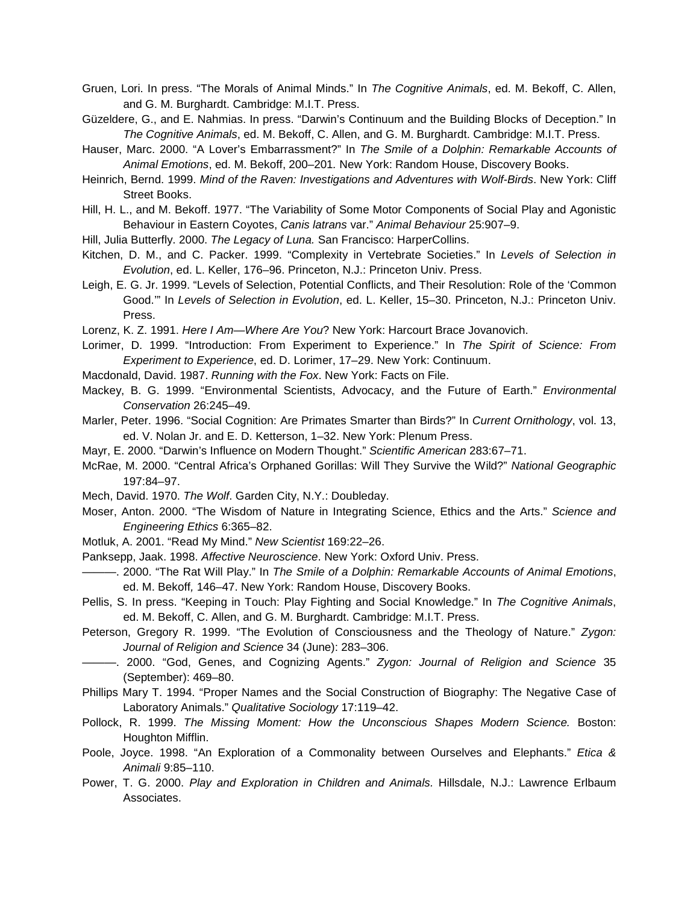- Gruen, Lori. In press. "The Morals of Animal Minds." In *The Cognitive Animals*, ed. M. Bekoff, C. Allen, and G. M. Burghardt. Cambridge: M.I.T. Press.
- Güzeldere, G., and E. Nahmias. In press. "Darwin's Continuum and the Building Blocks of Deception." In *The Cognitive Animals*, ed. M. Bekoff, C. Allen, and G. M. Burghardt. Cambridge: M.I.T. Press.
- Hauser, Marc. 2000. "A Lover's Embarrassment?" In *The Smile of a Dolphin: Remarkable Accounts of Animal Emotions*, ed. M. Bekoff, 200–201*.* New York: Random House, Discovery Books.
- Heinrich, Bernd. 1999. *Mind of the Raven: Investigations and Adventures with Wolf-Birds*. New York: Cliff Street Books.
- Hill, H. L., and M. Bekoff. 1977. "The Variability of Some Motor Components of Social Play and Agonistic Behaviour in Eastern Coyotes, *Canis latrans* var." *Animal Behaviour* 25:907–9.
- Hill, Julia Butterfly. 2000. *The Legacy of Luna.* San Francisco: HarperCollins.
- Kitchen, D. M., and C. Packer. 1999. "Complexity in Vertebrate Societies." In *Levels of Selection in Evolution*, ed. L. Keller, 176–96. Princeton, N.J.: Princeton Univ. Press.
- Leigh, E. G. Jr. 1999. "Levels of Selection, Potential Conflicts, and Their Resolution: Role of the 'Common Good.'" In *Levels of Selection in Evolution*, ed. L. Keller, 15–30. Princeton, N.J.: Princeton Univ. Press.
- Lorenz, K. Z. 1991. *Here I Am—Where Are You*? New York: Harcourt Brace Jovanovich.
- Lorimer, D. 1999. "Introduction: From Experiment to Experience." In *The Spirit of Science: From Experiment to Experience*, ed. D. Lorimer, 17–29. New York: Continuum.
- Macdonald, David. 1987. *Running with the Fox*. New York: Facts on File.
- Mackey, B. G. 1999. "Environmental Scientists, Advocacy, and the Future of Earth." *Environmental Conservation* 26:245–49.
- Marler, Peter. 1996. "Social Cognition: Are Primates Smarter than Birds?" In *Current Ornithology*, vol. 13, ed. V. Nolan Jr. and E. D. Ketterson, 1–32. New York: Plenum Press.
- Mayr, E. 2000. "Darwin's Influence on Modern Thought." *Scientific American* 283:67–71.
- McRae, M. 2000. "Central Africa's Orphaned Gorillas: Will They Survive the Wild?" *National Geographic*  197:84–97.
- Mech, David. 1970. *The Wolf*. Garden City, N.Y.: Doubleday.
- Moser, Anton. 2000. "The Wisdom of Nature in Integrating Science, Ethics and the Arts." *Science and Engineering Ethics* 6:365–82.
- Motluk, A. 2001. "Read My Mind." *New Scientist* 169:22–26.
- Panksepp, Jaak. 1998. *Affective Neuroscience*. New York: Oxford Univ. Press.
- ———. 2000. "The Rat Will Play." In *The Smile of a Dolphin: Remarkable Accounts of Animal Emotions*, ed. M. Bekoff*,* 146–47. New York: Random House, Discovery Books.
- Pellis, S. In press. "Keeping in Touch: Play Fighting and Social Knowledge." In *The Cognitive Animals*, ed. M. Bekoff, C. Allen, and G. M. Burghardt. Cambridge: M.I.T. Press.
- Peterson, Gregory R. 1999. "The Evolution of Consciousness and the Theology of Nature." *Zygon: Journal of Religion and Science* 34 (June): 283–306.
- ———. 2000. "God, Genes, and Cognizing Agents." *Zygon: Journal of Religion and Science* 35 (September): 469–80.
- Phillips Mary T. 1994. "Proper Names and the Social Construction of Biography: The Negative Case of Laboratory Animals." *Qualitative Sociology* 17:119–42.
- Pollock, R. 1999. *The Missing Moment: How the Unconscious Shapes Modern Science.* Boston: Houghton Mifflin.
- Poole, Joyce. 1998. "An Exploration of a Commonality between Ourselves and Elephants." *Etica & Animali* 9:85–110.
- Power, T. G. 2000. *Play and Exploration in Children and Animals.* Hillsdale, N.J.: Lawrence Erlbaum Associates.